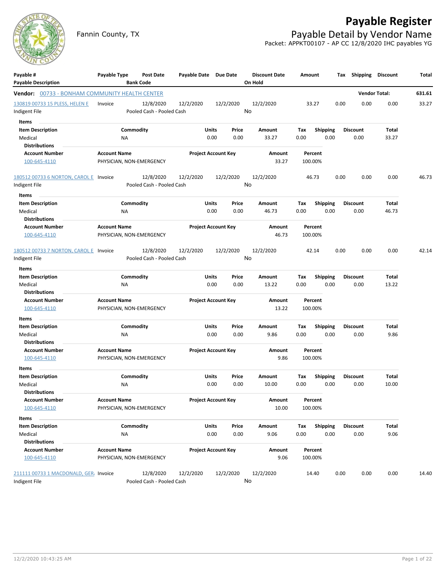# **Payable Register**



Fannin County, TX **Payable Detail by Vendor Name** Packet: APPKT00107 - AP CC 12/8/2020 IHC payables YG

| Payable #<br><b>Payable Description</b>        | Payable Type        |           | Post Date<br><b>Bank Code</b> | Payable Date Due Date |       |                            | <b>Discount Date</b><br>On Hold |      | Amount          | Tax  | <b>Shipping</b> | <b>Discount</b>      | Total  |
|------------------------------------------------|---------------------|-----------|-------------------------------|-----------------------|-------|----------------------------|---------------------------------|------|-----------------|------|-----------------|----------------------|--------|
| Vendor: 00733 - BONHAM COMMUNITY HEALTH CENTER |                     |           |                               |                       |       |                            |                                 |      |                 |      |                 | <b>Vendor Total:</b> | 631.61 |
| 130819 00733 15 PLESS, HELEN E                 | Invoice             |           | 12/8/2020                     | 12/2/2020             |       | 12/2/2020                  | 12/2/2020                       |      | 33.27           | 0.00 | 0.00            | 0.00                 | 33.27  |
| Indigent File                                  |                     |           | Pooled Cash - Pooled Cash     |                       |       |                            | No                              |      |                 |      |                 |                      |        |
| Items                                          |                     |           |                               |                       |       |                            |                                 |      |                 |      |                 |                      |        |
| <b>Item Description</b>                        |                     | Commodity |                               |                       | Units | Price                      | Amount                          | Tax  | <b>Shipping</b> |      | <b>Discount</b> | Total                |        |
| Medical                                        |                     | ΝA        |                               |                       | 0.00  | 0.00                       | 33.27                           | 0.00 | 0.00            |      | 0.00            | 33.27                |        |
| <b>Distributions</b>                           |                     |           |                               |                       |       |                            |                                 |      |                 |      |                 |                      |        |
| <b>Account Number</b>                          | <b>Account Name</b> |           |                               |                       |       | <b>Project Account Key</b> | Amount                          |      | Percent         |      |                 |                      |        |
| 100-645-4110                                   |                     |           | PHYSICIAN, NON-EMERGENCY      |                       |       |                            | 33.27                           |      | 100.00%         |      |                 |                      |        |
|                                                |                     |           |                               |                       |       |                            |                                 |      |                 |      |                 |                      |        |
| 180512 00733 6 NORTON, CAROL E Invoice         |                     |           | 12/8/2020                     | 12/2/2020             |       | 12/2/2020                  | 12/2/2020                       |      | 46.73           | 0.00 | 0.00            | 0.00                 | 46.73  |
| Indigent File                                  |                     |           | Pooled Cash - Pooled Cash     |                       |       |                            | No                              |      |                 |      |                 |                      |        |
| Items                                          |                     |           |                               |                       |       |                            |                                 |      |                 |      |                 |                      |        |
| <b>Item Description</b>                        |                     | Commodity |                               |                       | Units | Price                      | Amount                          | Tax  | <b>Shipping</b> |      | <b>Discount</b> | Total                |        |
| Medical                                        |                     | ΝA        |                               |                       | 0.00  | 0.00                       | 46.73                           | 0.00 | 0.00            |      | 0.00            | 46.73                |        |
| <b>Distributions</b>                           |                     |           |                               |                       |       |                            |                                 |      |                 |      |                 |                      |        |
| <b>Account Number</b>                          | <b>Account Name</b> |           |                               |                       |       | <b>Project Account Key</b> | Amount                          |      | Percent         |      |                 |                      |        |
| 100-645-4110                                   |                     |           | PHYSICIAN, NON-EMERGENCY      |                       |       |                            | 46.73                           |      | 100.00%         |      |                 |                      |        |
|                                                |                     |           |                               |                       |       |                            |                                 |      |                 |      |                 |                      |        |
| 180512 00733 7 NORTON, CAROL E Invoice         |                     |           | 12/8/2020                     | 12/2/2020             |       | 12/2/2020                  | 12/2/2020                       |      | 42.14           | 0.00 | 0.00            | 0.00                 | 42.14  |
| Indigent File                                  |                     |           | Pooled Cash - Pooled Cash     |                       |       |                            | No                              |      |                 |      |                 |                      |        |
| <b>Items</b>                                   |                     |           |                               |                       |       |                            |                                 |      |                 |      |                 |                      |        |
| <b>Item Description</b>                        |                     | Commodity |                               |                       | Units | Price                      | Amount                          | Tax  | <b>Shipping</b> |      | <b>Discount</b> | Total                |        |
| Medical                                        |                     | NA        |                               |                       | 0.00  | 0.00                       | 13.22                           | 0.00 | 0.00            |      | 0.00            | 13.22                |        |
| <b>Distributions</b>                           |                     |           |                               |                       |       |                            |                                 |      |                 |      |                 |                      |        |
| <b>Account Number</b>                          | <b>Account Name</b> |           |                               |                       |       | <b>Project Account Key</b> | Amount                          |      | Percent         |      |                 |                      |        |
| 100-645-4110                                   |                     |           | PHYSICIAN, NON-EMERGENCY      |                       |       |                            | 13.22                           |      | 100.00%         |      |                 |                      |        |
| Items                                          |                     |           |                               |                       |       |                            |                                 |      |                 |      |                 |                      |        |
| <b>Item Description</b>                        |                     | Commodity |                               |                       | Units | Price                      | Amount                          | Tax  | <b>Shipping</b> |      | <b>Discount</b> | Total                |        |
| Medical                                        |                     | ΝA        |                               |                       | 0.00  | 0.00                       | 9.86                            | 0.00 | 0.00            |      | 0.00            | 9.86                 |        |
| <b>Distributions</b>                           |                     |           |                               |                       |       |                            |                                 |      |                 |      |                 |                      |        |
| <b>Account Number</b>                          | <b>Account Name</b> |           |                               |                       |       | <b>Project Account Key</b> | Amount                          |      | Percent         |      |                 |                      |        |
| 100-645-4110                                   |                     |           | PHYSICIAN, NON-EMERGENCY      |                       |       |                            | 9.86                            |      | 100.00%         |      |                 |                      |        |
| Items                                          |                     |           |                               |                       |       |                            |                                 |      |                 |      |                 |                      |        |
| <b>Item Description</b>                        |                     | Commodity |                               |                       | Units | Price                      | Amount                          | Tax  | <b>Shipping</b> |      | <b>Discount</b> | Total                |        |
| Medical                                        |                     | NA        |                               |                       | 0.00  | 0.00                       | 10.00                           | 0.00 | 0.00            |      | 0.00            | 10.00                |        |
| Distributions                                  |                     |           |                               |                       |       |                            |                                 |      |                 |      |                 |                      |        |
| <b>Account Number</b>                          | <b>Account Name</b> |           |                               |                       |       | <b>Project Account Key</b> | Amount                          |      | Percent         |      |                 |                      |        |
| 100-645-4110                                   |                     |           | PHYSICIAN, NON-EMERGENCY      |                       |       |                            | 10.00                           |      | 100.00%         |      |                 |                      |        |
| Items                                          |                     |           |                               |                       |       |                            |                                 |      |                 |      |                 |                      |        |
| <b>Item Description</b>                        |                     | Commodity |                               |                       | Units | Price                      | Amount                          | Tax  | Shipping        |      | <b>Discount</b> | Total                |        |
| Medical                                        |                     | NA        |                               |                       | 0.00  | 0.00                       | 9.06                            | 0.00 | 0.00            |      | 0.00            | 9.06                 |        |
| <b>Distributions</b>                           |                     |           |                               |                       |       |                            |                                 |      |                 |      |                 |                      |        |
| <b>Account Number</b>                          | <b>Account Name</b> |           |                               |                       |       | <b>Project Account Key</b> | Amount                          |      | Percent         |      |                 |                      |        |
| 100-645-4110                                   |                     |           | PHYSICIAN, NON-EMERGENCY      |                       |       |                            | 9.06                            |      | 100.00%         |      |                 |                      |        |
|                                                |                     |           |                               |                       |       |                            |                                 |      |                 |      |                 |                      |        |
| 211111 00733 1 MACDONALD, GER, Invoice         |                     |           | 12/8/2020                     | 12/2/2020             |       | 12/2/2020                  | 12/2/2020                       |      | 14.40           | 0.00 | 0.00            | 0.00                 | 14.40  |
| Indigent File                                  |                     |           | Pooled Cash - Pooled Cash     |                       |       |                            | No                              |      |                 |      |                 |                      |        |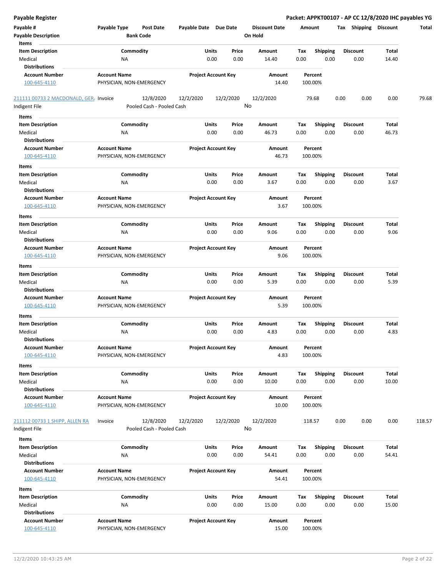| <b>Payable Register</b>                |                                                   |                            |                 |                      |                    |                         | Packet: APPKT00107 - AP CC 12/8/2020 IHC payables YG |       |        |
|----------------------------------------|---------------------------------------------------|----------------------------|-----------------|----------------------|--------------------|-------------------------|------------------------------------------------------|-------|--------|
| Payable #                              | Payable Type<br><b>Post Date</b>                  | Payable Date Due Date      |                 | <b>Discount Date</b> | Amount             |                         | Tax Shipping Discount                                |       | Total  |
| <b>Payable Description</b>             | <b>Bank Code</b>                                  |                            |                 | On Hold              |                    |                         |                                                      |       |        |
| Items<br><b>Item Description</b>       | Commodity                                         | Units                      | Price           | Amount               | Tax                | <b>Shipping</b>         | <b>Discount</b>                                      | Total |        |
| Medical                                | <b>NA</b>                                         | 0.00                       | 0.00            | 14.40                | 0.00               | 0.00                    | 0.00                                                 | 14.40 |        |
| <b>Distributions</b>                   |                                                   |                            |                 |                      |                    |                         |                                                      |       |        |
| <b>Account Number</b>                  | <b>Account Name</b>                               | <b>Project Account Key</b> |                 | Amount               | Percent            |                         |                                                      |       |        |
| 100-645-4110                           | PHYSICIAN, NON-EMERGENCY                          |                            |                 | 14.40                | 100.00%            |                         |                                                      |       |        |
| 211111 00733 2 MACDONALD, GER. Invoice | 12/8/2020                                         | 12/2/2020                  | 12/2/2020       | 12/2/2020            | 79.68              |                         | 0.00<br>0.00                                         | 0.00  | 79.68  |
| Indigent File                          | Pooled Cash - Pooled Cash                         |                            | No              |                      |                    |                         |                                                      |       |        |
| Items                                  |                                                   |                            |                 |                      |                    |                         |                                                      |       |        |
| <b>Item Description</b>                | Commodity                                         | Units                      | Price           | Amount               | Tax                | <b>Shipping</b>         | <b>Discount</b>                                      | Total |        |
| Medical                                | ΝA                                                | 0.00                       | 0.00            | 46.73                | 0.00               | 0.00                    | 0.00                                                 | 46.73 |        |
| <b>Distributions</b>                   |                                                   |                            |                 |                      |                    |                         |                                                      |       |        |
| <b>Account Number</b><br>100-645-4110  | <b>Account Name</b><br>PHYSICIAN, NON-EMERGENCY   | <b>Project Account Key</b> |                 | Amount<br>46.73      | Percent<br>100.00% |                         |                                                      |       |        |
| Items                                  |                                                   |                            |                 |                      |                    |                         |                                                      |       |        |
| <b>Item Description</b>                | Commodity                                         | Units                      | Price           | Amount               | Tax                |                         | <b>Discount</b>                                      | Total |        |
| Medical                                | ΝA                                                | 0.00                       | 0.00            | 3.67                 | 0.00               | <b>Shipping</b><br>0.00 | 0.00                                                 | 3.67  |        |
| <b>Distributions</b>                   |                                                   |                            |                 |                      |                    |                         |                                                      |       |        |
| <b>Account Number</b>                  | <b>Account Name</b>                               | <b>Project Account Key</b> |                 | Amount               | Percent            |                         |                                                      |       |        |
| 100-645-4110                           | PHYSICIAN, NON-EMERGENCY                          |                            |                 | 3.67                 | 100.00%            |                         |                                                      |       |        |
| Items                                  |                                                   |                            |                 |                      |                    |                         |                                                      |       |        |
| <b>Item Description</b>                | Commodity                                         | Units                      | Price           | Amount               | Tax                | <b>Shipping</b>         | <b>Discount</b>                                      | Total |        |
| Medical                                | <b>NA</b>                                         | 0.00                       | 0.00            | 9.06                 | 0.00               | 0.00                    | 0.00                                                 | 9.06  |        |
| <b>Distributions</b>                   |                                                   |                            |                 |                      |                    |                         |                                                      |       |        |
| <b>Account Number</b>                  | <b>Account Name</b>                               | <b>Project Account Key</b> |                 | Amount               | Percent            |                         |                                                      |       |        |
| 100-645-4110                           | PHYSICIAN, NON-EMERGENCY                          |                            |                 | 9.06                 | 100.00%            |                         |                                                      |       |        |
| Items                                  |                                                   |                            |                 |                      |                    |                         |                                                      |       |        |
| <b>Item Description</b>                | Commodity                                         | Units                      | Price           | Amount               | Tax                | <b>Shipping</b>         | <b>Discount</b>                                      | Total |        |
| Medical                                | <b>NA</b>                                         | 0.00                       | 0.00            | 5.39                 | 0.00               | 0.00                    | 0.00                                                 | 5.39  |        |
| <b>Distributions</b>                   |                                                   |                            |                 |                      |                    |                         |                                                      |       |        |
| <b>Account Number</b>                  | <b>Account Name</b>                               | <b>Project Account Key</b> |                 | Amount               | Percent            |                         |                                                      |       |        |
| 100-645-4110                           | PHYSICIAN, NON-EMERGENCY                          |                            |                 | 5.39                 | 100.00%            |                         |                                                      |       |        |
| Items                                  |                                                   |                            |                 |                      |                    |                         |                                                      |       |        |
| <b>Item Description</b>                | Commodity                                         | Units                      | Price           | Amount               | Tax                | <b>Shipping</b>         | <b>Discount</b>                                      | Total |        |
| Medical                                | ΝA                                                | 0.00                       | 0.00            | 4.83                 | 0.00               | 0.00                    | 0.00                                                 | 4.83  |        |
| <b>Distributions</b>                   |                                                   |                            |                 |                      |                    |                         |                                                      |       |        |
| <b>Account Number</b>                  | <b>Account Name</b>                               | <b>Project Account Key</b> |                 | Amount               | Percent            |                         |                                                      |       |        |
| 100-645-4110                           | PHYSICIAN, NON-EMERGENCY                          |                            |                 | 4.83                 | 100.00%            |                         |                                                      |       |        |
| Items                                  |                                                   |                            |                 |                      |                    |                         |                                                      |       |        |
| <b>Item Description</b>                | Commodity                                         | Units                      | Price           | Amount               | Tax                | <b>Shipping</b>         | <b>Discount</b>                                      | Total |        |
| Medical                                | ΝA                                                | 0.00                       | 0.00            | 10.00                | 0.00               | 0.00                    | 0.00                                                 | 10.00 |        |
| <b>Distributions</b>                   |                                                   |                            |                 |                      |                    |                         |                                                      |       |        |
| <b>Account Number</b>                  | <b>Account Name</b>                               | <b>Project Account Key</b> |                 | Amount               | Percent            |                         |                                                      |       |        |
| 100-645-4110                           | PHYSICIAN, NON-EMERGENCY                          |                            |                 | 10.00                | 100.00%            |                         |                                                      |       |        |
|                                        |                                                   |                            |                 |                      |                    |                         |                                                      |       |        |
| 211112 00733 1 SHIPP, ALLEN RA         | 12/8/2020<br>Invoice<br>Pooled Cash - Pooled Cash | 12/2/2020                  | 12/2/2020<br>No | 12/2/2020            | 118.57             |                         | 0.00<br>0.00                                         | 0.00  | 118.57 |
| Indigent File                          |                                                   |                            |                 |                      |                    |                         |                                                      |       |        |
| Items                                  |                                                   |                            |                 |                      |                    |                         |                                                      |       |        |
| <b>Item Description</b>                | Commodity                                         | Units                      | Price           | Amount               | Tax                | <b>Shipping</b>         | <b>Discount</b>                                      | Total |        |
| Medical                                | NA                                                | 0.00                       | 0.00            | 54.41                | 0.00               | 0.00                    | 0.00                                                 | 54.41 |        |
| <b>Distributions</b>                   |                                                   |                            |                 |                      |                    |                         |                                                      |       |        |
| <b>Account Number</b>                  | <b>Account Name</b>                               | <b>Project Account Key</b> |                 | Amount               | Percent            |                         |                                                      |       |        |
| 100-645-4110                           | PHYSICIAN, NON-EMERGENCY                          |                            |                 | 54.41                | 100.00%            |                         |                                                      |       |        |
| Items                                  |                                                   |                            |                 |                      |                    |                         |                                                      |       |        |
| <b>Item Description</b>                | Commodity                                         | Units                      | Price           | Amount               | Tax                | <b>Shipping</b>         | <b>Discount</b>                                      | Total |        |
| Medical                                | NA                                                | 0.00                       | 0.00            | 15.00                | 0.00               | 0.00                    | 0.00                                                 | 15.00 |        |
| <b>Distributions</b>                   |                                                   |                            |                 |                      |                    |                         |                                                      |       |        |
| <b>Account Number</b>                  | <b>Account Name</b>                               | <b>Project Account Key</b> |                 | Amount               | Percent            |                         |                                                      |       |        |
| 100-645-4110                           | PHYSICIAN, NON-EMERGENCY                          |                            |                 | 15.00                | 100.00%            |                         |                                                      |       |        |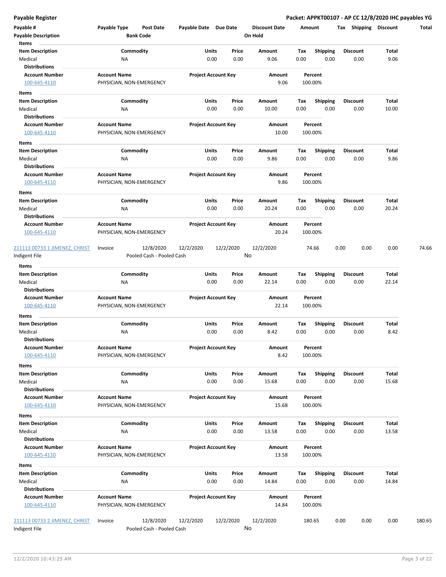| Payable #<br><b>Payable Description</b>         | Payable Type<br>Post Date<br><b>Bank Code</b>     | Payable Date Due Date |                            | <b>Discount Date</b><br>On Hold | Amount                                 | Tax<br>Shipping | <b>Discount</b> | Total  |
|-------------------------------------------------|---------------------------------------------------|-----------------------|----------------------------|---------------------------------|----------------------------------------|-----------------|-----------------|--------|
| Items                                           |                                                   |                       |                            |                                 |                                        |                 |                 |        |
| <b>Item Description</b>                         | Commodity                                         | Units                 | Price                      | Amount                          | Tax<br><b>Shipping</b>                 | <b>Discount</b> | Total           |        |
| Medical                                         | ΝA                                                |                       | 0.00<br>0.00               | 9.06                            | 0.00<br>0.00                           | 0.00            | 9.06            |        |
| <b>Distributions</b>                            |                                                   |                       |                            |                                 |                                        |                 |                 |        |
| <b>Account Number</b><br>100-645-4110           | <b>Account Name</b><br>PHYSICIAN, NON-EMERGENCY   |                       | <b>Project Account Key</b> | Amount<br>9.06                  | Percent<br>100.00%                     |                 |                 |        |
| Items                                           |                                                   |                       |                            |                                 |                                        |                 |                 |        |
| <b>Item Description</b>                         | Commodity                                         |                       | Units<br>Price             | Amount                          |                                        | <b>Discount</b> | Total           |        |
| Medical                                         | ΝA                                                |                       | 0.00<br>0.00               | 10.00                           | <b>Shipping</b><br>Тах<br>0.00<br>0.00 | 0.00            | 10.00           |        |
| <b>Distributions</b>                            |                                                   |                       |                            |                                 |                                        |                 |                 |        |
| <b>Account Number</b>                           | <b>Account Name</b>                               |                       | <b>Project Account Key</b> | Amount                          | Percent                                |                 |                 |        |
| 100-645-4110                                    | PHYSICIAN, NON-EMERGENCY                          |                       |                            | 10.00                           | 100.00%                                |                 |                 |        |
|                                                 |                                                   |                       |                            |                                 |                                        |                 |                 |        |
| Items                                           |                                                   |                       |                            |                                 |                                        |                 |                 |        |
| <b>Item Description</b>                         | Commodity                                         |                       | Units<br>Price             | Amount                          | Tax<br><b>Shipping</b>                 | <b>Discount</b> | Total           |        |
| Medical<br><b>Distributions</b>                 | ΝA                                                |                       | 0.00<br>0.00               | 9.86                            | 0.00<br>0.00                           | 0.00            | 9.86            |        |
| <b>Account Number</b>                           | <b>Account Name</b>                               |                       | <b>Project Account Key</b> | Amount                          | Percent                                |                 |                 |        |
| 100-645-4110                                    |                                                   |                       |                            | 9.86                            | 100.00%                                |                 |                 |        |
|                                                 | PHYSICIAN, NON-EMERGENCY                          |                       |                            |                                 |                                        |                 |                 |        |
| Items                                           |                                                   |                       |                            |                                 |                                        |                 |                 |        |
| <b>Item Description</b>                         | Commodity                                         | Units                 | Price                      | Amount                          | Tax<br><b>Shipping</b>                 | <b>Discount</b> | Total           |        |
| Medical                                         | <b>NA</b>                                         |                       | 0.00<br>0.00               | 20.24                           | 0.00<br>0.00                           | 0.00            | 20.24           |        |
| <b>Distributions</b>                            |                                                   |                       |                            |                                 |                                        |                 |                 |        |
| <b>Account Number</b>                           | <b>Account Name</b>                               |                       | <b>Project Account Key</b> | Amount                          | Percent                                |                 |                 |        |
| 100-645-4110                                    | PHYSICIAN, NON-EMERGENCY                          |                       |                            | 20.24                           | 100.00%                                |                 |                 |        |
| 211113 00733 1 JIMENEZ, CHRIST<br>Indigent File | 12/8/2020<br>Invoice<br>Pooled Cash - Pooled Cash | 12/2/2020             | 12/2/2020                  | 12/2/2020<br>No                 | 74.66                                  | 0.00<br>0.00    | 0.00            | 74.66  |
| Items                                           |                                                   |                       |                            |                                 |                                        |                 |                 |        |
| <b>Item Description</b>                         | Commodity                                         |                       | Units<br>Price             | Amount                          | Tax<br><b>Shipping</b>                 | <b>Discount</b> | Total           |        |
| Medical                                         | ΝA                                                |                       | 0.00<br>0.00               | 22.14                           | 0.00<br>0.00                           | 0.00            | 22.14           |        |
| <b>Distributions</b>                            |                                                   |                       |                            |                                 |                                        |                 |                 |        |
| <b>Account Number</b>                           | <b>Account Name</b>                               |                       | <b>Project Account Key</b> | Amount                          | Percent                                |                 |                 |        |
| 100-645-4110                                    | PHYSICIAN, NON-EMERGENCY                          |                       |                            | 22.14                           | 100.00%                                |                 |                 |        |
| Items                                           |                                                   |                       |                            |                                 |                                        |                 |                 |        |
| <b>Item Description</b>                         | Commodity                                         |                       | Units<br>Price             | Amount                          | Tax<br><b>Shipping</b>                 | Discount        | Total           |        |
| Medical                                         | ΝA                                                |                       | 0.00<br>0.00               | 8.42                            | 0.00<br>0.00                           | 0.00            | 8.42            |        |
| <b>Distributions</b>                            |                                                   |                       |                            |                                 |                                        |                 |                 |        |
| Account Number                                  | <b>Account Name</b>                               |                       | <b>Project Account Key</b> | Amount                          | Percent                                |                 |                 |        |
| 100-645-4110                                    | PHYSICIAN, NON-EMERGENCY                          |                       |                            | 8.42                            | 100.00%                                |                 |                 |        |
|                                                 |                                                   |                       |                            |                                 |                                        |                 |                 |        |
| Items                                           |                                                   |                       |                            |                                 |                                        |                 |                 |        |
| <b>Item Description</b>                         | Commodity                                         |                       | Units<br>Price             | Amount                          | Shipping<br>Tax                        | <b>Discount</b> | Total           |        |
| Medical                                         | ΝA                                                |                       | 0.00<br>0.00               | 15.68                           | 0.00<br>0.00                           | 0.00            | 15.68           |        |
| <b>Distributions</b>                            |                                                   |                       |                            |                                 |                                        |                 |                 |        |
| <b>Account Number</b><br>100-645-4110           | <b>Account Name</b><br>PHYSICIAN, NON-EMERGENCY   |                       | <b>Project Account Key</b> | Amount<br>15.68                 | Percent<br>100.00%                     |                 |                 |        |
|                                                 |                                                   |                       |                            |                                 |                                        |                 |                 |        |
| Items                                           |                                                   |                       |                            |                                 |                                        |                 |                 |        |
| <b>Item Description</b>                         | Commodity                                         |                       | Units<br>Price             | Amount                          | Tax<br><b>Shipping</b>                 | <b>Discount</b> | Total           |        |
| Medical                                         | <b>NA</b>                                         |                       | 0.00<br>0.00               | 13.58                           | 0.00<br>0.00                           | 0.00            | 13.58           |        |
| <b>Distributions</b>                            |                                                   |                       |                            |                                 |                                        |                 |                 |        |
| <b>Account Number</b>                           | <b>Account Name</b>                               |                       | <b>Project Account Key</b> | Amount                          | Percent                                |                 |                 |        |
| 100-645-4110                                    | PHYSICIAN, NON-EMERGENCY                          |                       |                            | 13.58                           | 100.00%                                |                 |                 |        |
| Items                                           |                                                   |                       |                            |                                 |                                        |                 |                 |        |
| <b>Item Description</b>                         | Commodity                                         |                       | Units<br>Price             | Amount                          | Tax<br><b>Shipping</b>                 | Discount        | Total           |        |
| Medical                                         | NA                                                |                       | 0.00<br>0.00               | 14.84                           | 0.00<br>0.00                           | 0.00            | 14.84           |        |
| <b>Distributions</b>                            |                                                   |                       |                            |                                 |                                        |                 |                 |        |
| <b>Account Number</b>                           | <b>Account Name</b>                               |                       | <b>Project Account Key</b> | Amount                          | Percent                                |                 |                 |        |
| 100-645-4110                                    | PHYSICIAN, NON-EMERGENCY                          |                       |                            | 14.84                           | 100.00%                                |                 |                 |        |
|                                                 |                                                   |                       |                            |                                 |                                        |                 |                 |        |
| 211113 00733 2 JIMENEZ, CHRIST<br>Indigent File | 12/8/2020<br>Invoice<br>Pooled Cash - Pooled Cash | 12/2/2020             | 12/2/2020                  | 12/2/2020<br>No                 | 180.65                                 | 0.00<br>0.00    | 0.00            | 180.65 |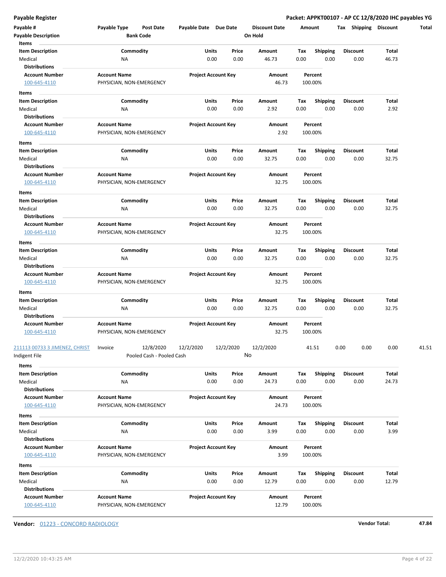| Payable #<br><b>Payable Description</b>                             | Payable Type                                    | Post Date<br><b>Bank Code</b>          | Payable Date Due Date |                            | <b>Discount Date</b><br>On Hold |             | Amount                  | Tax Shipping Discount   |                | Total |
|---------------------------------------------------------------------|-------------------------------------------------|----------------------------------------|-----------------------|----------------------------|---------------------------------|-------------|-------------------------|-------------------------|----------------|-------|
| Items<br><b>Item Description</b><br>Medical                         | ΝA                                              | Commodity                              | Units<br>0.00         | Price<br>0.00              | Amount<br>46.73                 | Tax<br>0.00 | <b>Shipping</b><br>0.00 | <b>Discount</b><br>0.00 | Total<br>46.73 |       |
| <b>Distributions</b><br><b>Account Number</b><br>100-645-4110       | <b>Account Name</b><br>PHYSICIAN, NON-EMERGENCY |                                        |                       | <b>Project Account Key</b> | Amount<br>46.73                 |             | Percent<br>100.00%      |                         |                |       |
| Items                                                               |                                                 |                                        |                       |                            |                                 |             |                         |                         |                |       |
| <b>Item Description</b>                                             |                                                 | Commodity                              | Units                 | Price                      | Amount                          | Tax         | <b>Shipping</b>         | <b>Discount</b>         | Total          |       |
| Medical<br>Distributions                                            | NA                                              |                                        | 0.00                  | 0.00                       | 2.92                            | 0.00        | 0.00                    | 0.00                    | 2.92           |       |
| <b>Account Number</b><br>100-645-4110                               | <b>Account Name</b><br>PHYSICIAN, NON-EMERGENCY |                                        |                       | <b>Project Account Key</b> | Amount<br>2.92                  |             | Percent<br>100.00%      |                         |                |       |
| Items                                                               |                                                 |                                        |                       |                            |                                 |             |                         |                         |                |       |
| <b>Item Description</b><br>Medical                                  | ΝA                                              | Commodity                              | Units<br>0.00         | Price<br>0.00              | Amount<br>32.75                 | Тах<br>0.00 | <b>Shipping</b><br>0.00 | <b>Discount</b><br>0.00 | Total<br>32.75 |       |
| Distributions                                                       |                                                 |                                        |                       |                            |                                 |             |                         |                         |                |       |
| <b>Account Number</b><br>100-645-4110                               | <b>Account Name</b><br>PHYSICIAN, NON-EMERGENCY |                                        |                       | <b>Project Account Key</b> | Amount<br>32.75                 |             | Percent<br>100.00%      |                         |                |       |
| Items                                                               |                                                 |                                        |                       |                            |                                 |             |                         |                         |                |       |
| <b>Item Description</b><br>Medical                                  | ΝA                                              | Commodity                              | Units                 | Price<br>0.00<br>0.00      | Amount<br>32.75                 | Tax<br>0.00 | <b>Shipping</b><br>0.00 | Discount<br>0.00        | Total<br>32.75 |       |
| <b>Distributions</b>                                                |                                                 |                                        |                       |                            |                                 |             |                         |                         |                |       |
| <b>Account Number</b>                                               | <b>Account Name</b>                             |                                        |                       | <b>Project Account Key</b> | Amount                          |             | Percent                 |                         |                |       |
| 100-645-4110                                                        | PHYSICIAN, NON-EMERGENCY                        |                                        |                       |                            | 32.75                           |             | 100.00%                 |                         |                |       |
| Items                                                               |                                                 |                                        |                       |                            |                                 |             |                         |                         |                |       |
| <b>Item Description</b>                                             |                                                 | Commodity                              | Units                 | Price                      | Amount                          | Tax         | <b>Shipping</b>         | <b>Discount</b>         | Total          |       |
| Medical                                                             | ΝA                                              |                                        | 0.00                  | 0.00                       | 32.75                           | 0.00        | 0.00                    | 0.00                    | 32.75          |       |
| <b>Distributions</b>                                                |                                                 |                                        |                       |                            |                                 |             |                         |                         |                |       |
| <b>Account Number</b><br>100-645-4110                               | <b>Account Name</b><br>PHYSICIAN, NON-EMERGENCY |                                        |                       | <b>Project Account Key</b> | Amount<br>32.75                 |             | Percent<br>100.00%      |                         |                |       |
| Items                                                               |                                                 |                                        |                       |                            |                                 |             |                         |                         |                |       |
| <b>Item Description</b><br>Medical<br><b>Distributions</b>          | ΝA                                              | Commodity                              | Units<br>0.00         | Price<br>0.00              | Amount<br>32.75                 | Тах<br>0.00 | <b>Shipping</b><br>0.00 | <b>Discount</b><br>0.00 | Total<br>32.75 |       |
| <b>Account Number</b><br>100-645-4110                               | <b>Account Name</b><br>PHYSICIAN, NON-EMERGENCY |                                        |                       | <b>Project Account Key</b> | Amount<br>32.75                 |             | Percent<br>100.00%      |                         |                |       |
| 211113 00733 3 JIMENEZ, CHRIST<br>Indigent File                     | Invoice                                         | 12/8/2020<br>Pooled Cash - Pooled Cash | 12/2/2020             | 12/2/2020                  | 12/2/2020<br>No                 |             | 41.51                   | 0.00<br>0.00            | 0.00           | 41.51 |
| Items<br><b>Item Description</b><br>Medical<br><b>Distributions</b> | <b>NA</b>                                       | Commodity                              | Units                 | Price<br>0.00<br>0.00      | Amount<br>24.73                 | Tax<br>0.00 | <b>Shipping</b><br>0.00 | <b>Discount</b><br>0.00 | Total<br>24.73 |       |
| <b>Account Number</b><br>100-645-4110                               | <b>Account Name</b><br>PHYSICIAN, NON-EMERGENCY |                                        |                       | <b>Project Account Key</b> | Amount<br>24.73                 |             | Percent<br>100.00%      |                         |                |       |
| Items                                                               |                                                 |                                        |                       |                            |                                 |             |                         |                         |                |       |
| <b>Item Description</b><br>Medical                                  | NA                                              | Commodity                              | Units                 | Price<br>0.00<br>0.00      | Amount<br>3.99                  | Tax<br>0.00 | <b>Shipping</b><br>0.00 | <b>Discount</b><br>0.00 | Total<br>3.99  |       |
| <b>Distributions</b><br><b>Account Number</b><br>100-645-4110       | <b>Account Name</b><br>PHYSICIAN, NON-EMERGENCY |                                        |                       | <b>Project Account Key</b> | Amount<br>3.99                  |             | Percent<br>100.00%      |                         |                |       |
| Items                                                               |                                                 |                                        |                       |                            |                                 |             |                         |                         |                |       |
| <b>Item Description</b>                                             |                                                 | Commodity                              | Units                 | Price                      | Amount                          | Tax         | <b>Shipping</b>         | Discount                | Total          |       |
| Medical<br><b>Distributions</b>                                     | <b>NA</b>                                       |                                        |                       | 0.00<br>0.00               | 12.79                           | 0.00        | 0.00                    | 0.00                    | 12.79          |       |
| <b>Account Number</b><br>100-645-4110                               | <b>Account Name</b><br>PHYSICIAN, NON-EMERGENCY |                                        |                       | <b>Project Account Key</b> | Amount<br>12.79                 |             | Percent<br>100.00%      |                         |                |       |

**Vendor:** 01223 - CONCORD RADIOLOGY **Vendor Total: 47.84**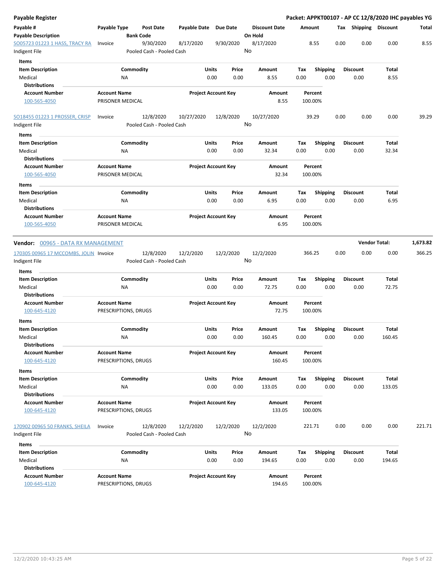| Payable Register                                |                                         |                                        |              |                            |                                 |      |                    |      |                       | Packet: APPKT00107 - AP CC 12/8/2020 IHC payables YG |          |
|-------------------------------------------------|-----------------------------------------|----------------------------------------|--------------|----------------------------|---------------------------------|------|--------------------|------|-----------------------|------------------------------------------------------|----------|
| Payable #<br><b>Payable Description</b>         | Payable Type                            | <b>Post Date</b><br><b>Bank Code</b>   | Payable Date | <b>Due Date</b>            | <b>Discount Date</b><br>On Hold |      | Amount             |      | Tax Shipping Discount |                                                      | Total    |
| SO05723 01223 1 HASS, TRACY RA<br>Indigent File | Invoice                                 | 9/30/2020<br>Pooled Cash - Pooled Cash | 8/17/2020    | 9/30/2020                  | 8/17/2020<br>No                 |      | 8.55               | 0.00 | 0.00                  | 0.00                                                 | 8.55     |
| <b>Items</b>                                    |                                         |                                        |              |                            |                                 |      |                    |      |                       |                                                      |          |
| <b>Item Description</b>                         |                                         | Commodity                              |              | Units<br>Price             | Amount                          | Tax  | <b>Shipping</b>    |      | Discount              | Total                                                |          |
| Medical<br><b>Distributions</b>                 |                                         | ΝA                                     |              | 0.00<br>0.00               | 8.55                            | 0.00 | 0.00               |      | 0.00                  | 8.55                                                 |          |
| <b>Account Number</b>                           | <b>Account Name</b>                     |                                        |              | <b>Project Account Key</b> | Amount                          |      | Percent            |      |                       |                                                      |          |
| 100-565-4050                                    | PRISONER MEDICAL                        |                                        |              |                            | 8.55                            |      | 100.00%            |      |                       |                                                      |          |
| SO18455 01223 1 PROSSER, CRISP<br>Indigent File | Invoice                                 | 12/8/2020<br>Pooled Cash - Pooled Cash | 10/27/2020   | 12/8/2020                  | 10/27/2020<br>No                |      | 39.29              | 0.00 | 0.00                  | 0.00                                                 | 39.29    |
| Items                                           |                                         |                                        |              |                            |                                 |      |                    |      |                       |                                                      |          |
| <b>Item Description</b>                         |                                         | Commodity                              |              | Units<br>Price             | Amount                          | Tax  | <b>Shipping</b>    |      | <b>Discount</b>       | <b>Total</b>                                         |          |
| Medical<br><b>Distributions</b>                 |                                         | NA                                     |              | 0.00<br>0.00               | 32.34                           | 0.00 | 0.00               |      | 0.00                  | 32.34                                                |          |
| <b>Account Number</b><br>100-565-4050           | <b>Account Name</b><br>PRISONER MEDICAL |                                        |              | <b>Project Account Key</b> | Amount<br>32.34                 |      | Percent<br>100.00% |      |                       |                                                      |          |
| Items<br><b>Item Description</b>                |                                         | Commodity                              |              | Units<br>Price             | Amount                          | Tax  | <b>Shipping</b>    |      | Discount              | Total                                                |          |
| Medical<br><b>Distributions</b>                 |                                         | NA                                     |              | 0.00<br>0.00               | 6.95                            | 0.00 | 0.00               |      | 0.00                  | 6.95                                                 |          |
| <b>Account Number</b><br>100-565-4050           | <b>Account Name</b><br>PRISONER MEDICAL |                                        |              | <b>Project Account Key</b> | Amount<br>6.95                  |      | Percent<br>100.00% |      |                       |                                                      |          |
| <b>Vendor:</b> 00965 - DATA RX MANAGEMENT       |                                         |                                        |              |                            |                                 |      |                    |      |                       | <b>Vendor Total:</b>                                 | 1,673.82 |
| 170305 00965 17 MCCOMBS, JOLIN Invoice          |                                         | 12/8/2020                              | 12/2/2020    | 12/2/2020                  | 12/2/2020                       |      | 366.25             | 0.00 | 0.00                  | 0.00                                                 | 366.25   |
| Indigent File                                   |                                         | Pooled Cash - Pooled Cash              |              |                            | No                              |      |                    |      |                       |                                                      |          |
| Items                                           |                                         |                                        |              |                            |                                 |      |                    |      |                       |                                                      |          |
| <b>Item Description</b>                         |                                         | Commodity                              |              | Units<br>Price             | Amount                          | Tax  | <b>Shipping</b>    |      | Discount              | <b>Total</b>                                         |          |
| Medical                                         |                                         | ΝA                                     |              | 0.00<br>0.00               | 72.75                           | 0.00 | 0.00               |      | 0.00                  | 72.75                                                |          |
| <b>Distributions</b>                            |                                         |                                        |              |                            |                                 |      |                    |      |                       |                                                      |          |
| <b>Account Number</b><br>100-645-4120           | <b>Account Name</b>                     | PRESCRIPTIONS, DRUGS                   |              | <b>Project Account Key</b> | Amount<br>72.75                 |      | Percent<br>100.00% |      |                       |                                                      |          |
| Items                                           |                                         |                                        |              |                            |                                 |      |                    |      |                       |                                                      |          |
| <b>Item Description</b>                         |                                         | Commodity                              |              | Units<br>Price             | Amount                          | Tax  | <b>Shipping</b>    |      | Discount              | <b>Total</b>                                         |          |
| Medical<br><b>Distributions</b>                 |                                         | ΝA                                     |              | 0.00<br>0.00               | 160.45                          | 0.00 | 0.00               |      | 0.00                  | 160.45                                               |          |
| <b>Account Number</b>                           | <b>Account Name</b>                     |                                        |              | <b>Project Account Key</b> | Amount                          |      | Percent            |      |                       |                                                      |          |
| 100-645-4120                                    |                                         | PRESCRIPTIONS, DRUGS                   |              |                            | 160.45                          |      | 100.00%            |      |                       |                                                      |          |
| Items                                           |                                         |                                        |              |                            |                                 |      |                    |      |                       |                                                      |          |
| <b>Item Description</b>                         |                                         | Commodity                              |              | Units<br>Price             | Amount                          | Tax  | <b>Shipping</b>    |      | Discount              | Total                                                |          |
| Medical<br><b>Distributions</b>                 |                                         | NA                                     |              | 0.00<br>0.00               | 133.05                          | 0.00 | 0.00               |      | 0.00                  | 133.05                                               |          |
| <b>Account Number</b>                           | <b>Account Name</b>                     |                                        |              | <b>Project Account Key</b> | Amount                          |      | Percent            |      |                       |                                                      |          |
| 100-645-4120                                    |                                         | PRESCRIPTIONS, DRUGS                   |              |                            | 133.05                          |      | 100.00%            |      |                       |                                                      |          |
| 170902 00965 50 FRANKS, SHEILA                  | Invoice                                 | 12/8/2020                              | 12/2/2020    | 12/2/2020                  | 12/2/2020                       |      | 221.71             | 0.00 | 0.00                  | 0.00                                                 | 221.71   |
| ndigent File                                    |                                         | Pooled Cash - Pooled Cash              |              |                            | No                              |      |                    |      |                       |                                                      |          |
| Items                                           |                                         |                                        |              |                            |                                 |      |                    |      |                       |                                                      |          |
| <b>Item Description</b>                         |                                         | Commodity                              |              | Units<br>Price             | Amount                          | Tax  | Shipping           |      | <b>Discount</b>       | <b>Total</b>                                         |          |
| Medical                                         |                                         | ΝA                                     |              | 0.00<br>0.00               | 194.65                          | 0.00 | 0.00               |      | 0.00                  | 194.65                                               |          |
| <b>Distributions</b>                            |                                         |                                        |              |                            |                                 |      |                    |      |                       |                                                      |          |
| <b>Account Number</b>                           | <b>Account Name</b>                     |                                        |              | <b>Project Account Key</b> | Amount                          |      | Percent            |      |                       |                                                      |          |
| 100-645-4120                                    |                                         | PRESCRIPTIONS, DRUGS                   |              |                            | 194.65                          |      | 100.00%            |      |                       |                                                      |          |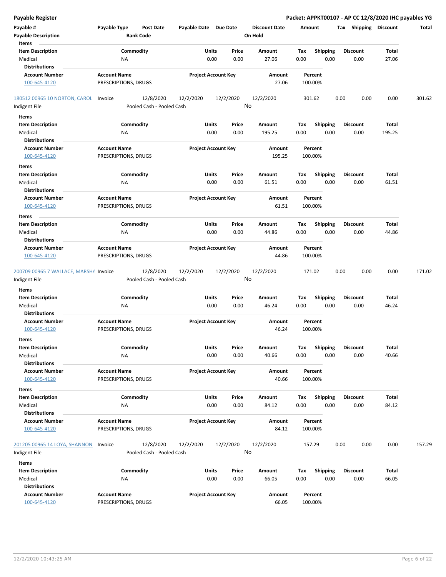| <b>Payable Register</b>                |                                  |                            |                      | Packet: APPKT00107 - AP CC 12/8/2020 IHC payables YG |                       |              |        |
|----------------------------------------|----------------------------------|----------------------------|----------------------|------------------------------------------------------|-----------------------|--------------|--------|
| Payable #                              | Payable Type<br><b>Post Date</b> | Payable Date Due Date      | <b>Discount Date</b> | Amount                                               | Tax Shipping Discount |              | Total  |
| <b>Payable Description</b>             | <b>Bank Code</b>                 |                            | On Hold              |                                                      |                       |              |        |
| Items                                  |                                  |                            |                      |                                                      |                       |              |        |
| <b>Item Description</b>                | Commodity                        | Price<br>Units             | <b>Amount</b>        | Shipping<br>Tax                                      | <b>Discount</b>       | <b>Total</b> |        |
| Medical                                | NA                               | 0.00<br>0.00               | 27.06                | 0.00<br>0.00                                         | 0.00                  | 27.06        |        |
| <b>Distributions</b>                   |                                  |                            |                      |                                                      |                       |              |        |
| <b>Account Number</b>                  | <b>Account Name</b>              | <b>Project Account Key</b> | Amount               | Percent                                              |                       |              |        |
| 100-645-4120                           | PRESCRIPTIONS, DRUGS             |                            | 27.06                | 100.00%                                              |                       |              |        |
| 180512 00965 10 NORTON, CAROL          | 12/8/2020<br>Invoice             | 12/2/2020<br>12/2/2020     | 12/2/2020            | 301.62                                               | 0.00<br>0.00          | 0.00         | 301.62 |
| Indigent File                          | Pooled Cash - Pooled Cash        |                            | No                   |                                                      |                       |              |        |
| Items                                  |                                  |                            |                      |                                                      |                       |              |        |
| <b>Item Description</b>                | Commodity                        | Units<br>Price             | Amount               | Tax<br><b>Shipping</b>                               | <b>Discount</b>       | Total        |        |
| Medical                                | ΝA                               | 0.00<br>0.00               | 195.25               | 0.00<br>0.00                                         | 0.00                  | 195.25       |        |
| <b>Distributions</b>                   |                                  |                            |                      |                                                      |                       |              |        |
| <b>Account Number</b>                  | <b>Account Name</b>              | <b>Project Account Key</b> | Amount               | Percent                                              |                       |              |        |
| 100-645-4120                           | PRESCRIPTIONS, DRUGS             |                            | 195.25               | 100.00%                                              |                       |              |        |
| Items                                  |                                  |                            |                      |                                                      |                       |              |        |
| <b>Item Description</b>                | Commodity                        | Price<br>Units             | Amount               | Tax<br><b>Shipping</b>                               | <b>Discount</b>       | Total        |        |
| Medical                                | ΝA                               | 0.00<br>0.00               | 61.51                | 0.00<br>0.00                                         | 0.00                  | 61.51        |        |
| <b>Distributions</b>                   |                                  |                            |                      |                                                      |                       |              |        |
| <b>Account Number</b>                  | <b>Account Name</b>              | <b>Project Account Key</b> | Amount               | Percent                                              |                       |              |        |
| 100-645-4120                           | PRESCRIPTIONS, DRUGS             |                            | 61.51                | 100.00%                                              |                       |              |        |
| Items                                  |                                  |                            |                      |                                                      |                       |              |        |
| <b>Item Description</b>                | Commodity                        | Units<br>Price             | Amount               | Tax<br><b>Shipping</b>                               | <b>Discount</b>       | <b>Total</b> |        |
| Medical                                | ΝA                               | 0.00<br>0.00               | 44.86                | 0.00<br>0.00                                         | 0.00                  | 44.86        |        |
| <b>Distributions</b>                   |                                  |                            |                      |                                                      |                       |              |        |
| <b>Account Number</b>                  | <b>Account Name</b>              | <b>Project Account Key</b> | Amount               | Percent                                              |                       |              |        |
| 100-645-4120                           | PRESCRIPTIONS, DRUGS             |                            | 44.86                | 100.00%                                              |                       |              |        |
| 200709 00965 7 WALLACE, MARSHA Invoice | 12/8/2020                        | 12/2/2020<br>12/2/2020     | 12/2/2020            | 171.02                                               | 0.00<br>0.00          | 0.00         | 171.02 |
| Indigent File                          | Pooled Cash - Pooled Cash        |                            | No                   |                                                      |                       |              |        |
|                                        |                                  |                            |                      |                                                      |                       |              |        |
| Items                                  | Commodity                        | Price                      | Amount               | Tax                                                  | <b>Discount</b>       | Total        |        |
| <b>Item Description</b><br>Medical     | ΝA                               | Units<br>0.00<br>0.00      | 46.24                | <b>Shipping</b><br>0.00<br>0.00                      | 0.00                  | 46.24        |        |
| <b>Distributions</b>                   |                                  |                            |                      |                                                      |                       |              |        |
| <b>Account Number</b>                  | <b>Account Name</b>              | <b>Project Account Key</b> | Amount               | Percent                                              |                       |              |        |
| 100-645-4120                           | PRESCRIPTIONS, DRUGS             |                            | 46.24                | 100.00%                                              |                       |              |        |
|                                        |                                  |                            |                      |                                                      |                       |              |        |
| Items                                  |                                  |                            |                      |                                                      |                       |              |        |
| <b>Item Description</b>                | Commodity                        | <b>Units</b><br>Price      | Amount               | Shipping<br>Tax                                      | <b>Discount</b>       | Total        |        |
| Medical                                | ΝA                               | 0.00<br>0.00               | 40.66                | 0.00<br>0.00                                         | 0.00                  | 40.66        |        |
| <b>Distributions</b>                   |                                  |                            |                      |                                                      |                       |              |        |
| <b>Account Number</b>                  | <b>Account Name</b>              | <b>Project Account Key</b> | Amount               | Percent                                              |                       |              |        |
| 100-645-4120                           | PRESCRIPTIONS, DRUGS             |                            | 40.66                | 100.00%                                              |                       |              |        |
| Items                                  |                                  |                            |                      |                                                      |                       |              |        |
| <b>Item Description</b>                | Commodity                        | Units<br>Price             | Amount               | Shipping<br>Tax                                      | <b>Discount</b>       | Total        |        |
| Medical                                | NA                               | 0.00<br>0.00               | 84.12                | 0.00<br>0.00                                         | 0.00                  | 84.12        |        |
| <b>Distributions</b>                   |                                  |                            |                      |                                                      |                       |              |        |
| <b>Account Number</b>                  | <b>Account Name</b>              | <b>Project Account Key</b> | Amount               | Percent                                              |                       |              |        |
| 100-645-4120                           | PRESCRIPTIONS, DRUGS             |                            | 84.12                | 100.00%                                              |                       |              |        |
| 201205 00965 14 LOYA, SHANNON          | 12/8/2020<br>Invoice             | 12/2/2020<br>12/2/2020     | 12/2/2020            | 157.29                                               | 0.00<br>0.00          | 0.00         | 157.29 |
| Indigent File                          | Pooled Cash - Pooled Cash        |                            | No                   |                                                      |                       |              |        |
|                                        |                                  |                            |                      |                                                      |                       |              |        |
| Items                                  |                                  |                            |                      |                                                      |                       |              |        |
| <b>Item Description</b>                | Commodity                        | Units<br>Price             | Amount               | <b>Shipping</b><br>Tax                               | <b>Discount</b>       | Total        |        |
| Medical                                | NA                               | 0.00<br>0.00               | 66.05                | 0.00<br>0.00                                         | 0.00                  | 66.05        |        |
| <b>Distributions</b>                   |                                  |                            |                      |                                                      |                       |              |        |
| <b>Account Number</b>                  | <b>Account Name</b>              | <b>Project Account Key</b> | Amount               | Percent                                              |                       |              |        |
| 100-645-4120                           | PRESCRIPTIONS, DRUGS             |                            | 66.05                | 100.00%                                              |                       |              |        |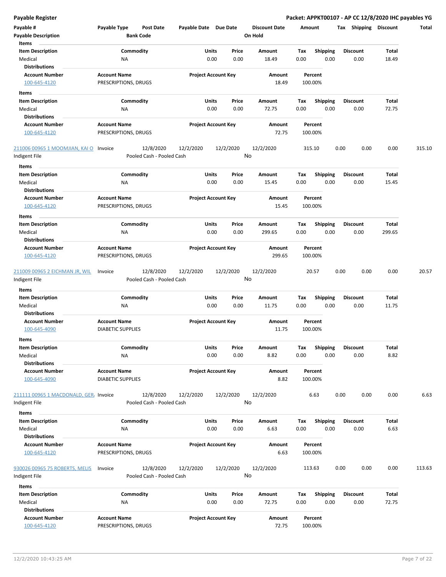| Payable #                              | Payable Type             | <b>Post Date</b>                       | Payable Date Due Date |                            | <b>Discount Date</b> | Amount  |                 | Tax             | <b>Shipping</b> | <b>Discount</b> | Total  |
|----------------------------------------|--------------------------|----------------------------------------|-----------------------|----------------------------|----------------------|---------|-----------------|-----------------|-----------------|-----------------|--------|
| <b>Payable Description</b>             |                          | <b>Bank Code</b>                       |                       |                            | On Hold              |         |                 |                 |                 |                 |        |
| Items                                  |                          |                                        |                       |                            |                      |         |                 |                 |                 |                 |        |
| <b>Item Description</b>                |                          | Commodity                              |                       | Units<br>Price             | Amount               | Tax     | <b>Shipping</b> | Discount        |                 | Total           |        |
| Medical                                | ΝA                       |                                        |                       | 0.00<br>0.00               | 18.49                | 0.00    | 0.00            | 0.00            |                 | 18.49           |        |
| <b>Distributions</b>                   |                          |                                        |                       |                            |                      |         |                 |                 |                 |                 |        |
| <b>Account Number</b>                  | <b>Account Name</b>      |                                        |                       | <b>Project Account Key</b> | Amount               | Percent |                 |                 |                 |                 |        |
| 100-645-4120                           | PRESCRIPTIONS, DRUGS     |                                        |                       |                            | 18.49                | 100.00% |                 |                 |                 |                 |        |
| Items                                  |                          |                                        |                       |                            |                      |         |                 |                 |                 |                 |        |
| <b>Item Description</b>                |                          | Commodity                              |                       | Units<br>Price             | Amount               | Тах     | Shipping        | <b>Discount</b> |                 | Total           |        |
| Medical                                | ΝA                       |                                        |                       | 0.00<br>0.00               | 72.75                | 0.00    | 0.00            | 0.00            |                 | 72.75           |        |
| <b>Distributions</b>                   |                          |                                        |                       |                            |                      |         |                 |                 |                 |                 |        |
| <b>Account Number</b>                  | <b>Account Name</b>      |                                        |                       | <b>Project Account Key</b> | Amount               | Percent |                 |                 |                 |                 |        |
| 100-645-4120                           | PRESCRIPTIONS, DRUGS     |                                        |                       |                            | 72.75                | 100.00% |                 |                 |                 |                 |        |
|                                        |                          |                                        |                       |                            |                      |         |                 |                 |                 |                 |        |
| <u>211006 00965 1 MOOMJIAN, KAI O</u>  | Invoice                  | 12/8/2020                              | 12/2/2020             | 12/2/2020                  | 12/2/2020            | 315.10  |                 | 0.00            | 0.00            | 0.00            | 315.10 |
| Indigent File                          |                          | Pooled Cash - Pooled Cash              |                       |                            | No                   |         |                 |                 |                 |                 |        |
| Items                                  |                          |                                        |                       |                            |                      |         |                 |                 |                 |                 |        |
| <b>Item Description</b>                |                          | Commodity                              |                       | Units<br>Price             | Amount               | Tax     | <b>Shipping</b> | <b>Discount</b> |                 | Total           |        |
| Medical                                | ΝA                       |                                        |                       | 0.00<br>0.00               | 15.45                | 0.00    | 0.00            | 0.00            |                 | 15.45           |        |
| <b>Distributions</b>                   |                          |                                        |                       |                            |                      |         |                 |                 |                 |                 |        |
| <b>Account Number</b>                  | <b>Account Name</b>      |                                        |                       | <b>Project Account Key</b> | Amount               | Percent |                 |                 |                 |                 |        |
| 100-645-4120                           | PRESCRIPTIONS, DRUGS     |                                        |                       |                            | 15.45                | 100.00% |                 |                 |                 |                 |        |
| Items                                  |                          |                                        |                       |                            |                      |         |                 |                 |                 |                 |        |
| <b>Item Description</b>                |                          | Commodity                              |                       | Units<br>Price             | Amount               | Tax     | <b>Shipping</b> | <b>Discount</b> |                 | Total           |        |
| Medical                                | ΝA                       |                                        |                       | 0.00<br>0.00               | 299.65               | 0.00    | 0.00            | 0.00            |                 | 299.65          |        |
| <b>Distributions</b>                   |                          |                                        |                       |                            |                      |         |                 |                 |                 |                 |        |
| <b>Account Number</b>                  | <b>Account Name</b>      |                                        |                       | <b>Project Account Key</b> | Amount               | Percent |                 |                 |                 |                 |        |
| 100-645-4120                           | PRESCRIPTIONS, DRUGS     |                                        |                       |                            | 299.65               | 100.00% |                 |                 |                 |                 |        |
|                                        |                          |                                        |                       |                            |                      |         |                 |                 |                 |                 |        |
| 211009 00965 2 EICHMAN JR, WIL         | Invoice                  | 12/8/2020                              | 12/2/2020             | 12/2/2020                  | 12/2/2020            | 20.57   |                 | 0.00            | 0.00            | 0.00            | 20.57  |
| Indigent File                          |                          | Pooled Cash - Pooled Cash              |                       |                            | No                   |         |                 |                 |                 |                 |        |
| Items                                  |                          |                                        |                       |                            |                      |         |                 |                 |                 |                 |        |
| <b>Item Description</b>                |                          | Commodity                              |                       | Units<br>Price             | Amount               | Tax     | <b>Shipping</b> | Discount        |                 | Total           |        |
| Medical                                | ΝA                       |                                        |                       | 0.00<br>0.00               | 11.75                | 0.00    | 0.00            | 0.00            |                 | 11.75           |        |
| <b>Distributions</b>                   |                          |                                        |                       |                            |                      |         |                 |                 |                 |                 |        |
| <b>Account Number</b>                  | <b>Account Name</b>      |                                        |                       | <b>Project Account Key</b> | Amount               | Percent |                 |                 |                 |                 |        |
| 100-645-4090                           | <b>DIABETIC SUPPLIES</b> |                                        |                       |                            | 11.75                | 100.00% |                 |                 |                 |                 |        |
| Items                                  |                          |                                        |                       |                            |                      |         |                 |                 |                 |                 |        |
| Item Description                       |                          | Commodity                              |                       | Units<br>Price             | Amount               | Tax     | <b>Shipping</b> | <b>Discount</b> |                 | Total           |        |
| Medical                                | <b>NA</b>                |                                        |                       | 0.00<br>0.00               | 8.82                 | 0.00    | 0.00            | 0.00            |                 | 8.82            |        |
| <b>Distributions</b>                   |                          |                                        |                       |                            |                      |         |                 |                 |                 |                 |        |
| <b>Account Number</b>                  | <b>Account Name</b>      |                                        |                       | <b>Project Account Key</b> | Amount               | Percent |                 |                 |                 |                 |        |
| 100-645-4090                           | <b>DIABETIC SUPPLIES</b> |                                        |                       |                            | 8.82                 | 100.00% |                 |                 |                 |                 |        |
|                                        |                          |                                        |                       |                            |                      |         |                 |                 |                 |                 |        |
| 211111 00965 1 MACDONALD, GER, Invoice |                          | 12/8/2020<br>Pooled Cash - Pooled Cash | 12/2/2020             | 12/2/2020                  | 12/2/2020<br>No      | 6.63    |                 | 0.00            | 0.00            | 0.00            | 6.63   |
| ndigent File                           |                          |                                        |                       |                            |                      |         |                 |                 |                 |                 |        |
| Items                                  |                          |                                        |                       |                            |                      |         |                 |                 |                 |                 |        |
| <b>Item Description</b>                |                          | Commodity                              |                       | Units<br>Price             | Amount               | Tax     | <b>Shipping</b> | <b>Discount</b> |                 | Total           |        |
| Medical                                | ΝA                       |                                        |                       | 0.00<br>0.00               | 6.63                 | 0.00    | 0.00            | 0.00            |                 | 6.63            |        |
| <b>Distributions</b>                   |                          |                                        |                       |                            |                      |         |                 |                 |                 |                 |        |
| <b>Account Number</b>                  | <b>Account Name</b>      |                                        |                       | <b>Project Account Key</b> | Amount               | Percent |                 |                 |                 |                 |        |
| 100-645-4120                           | PRESCRIPTIONS, DRUGS     |                                        |                       |                            | 6.63                 | 100.00% |                 |                 |                 |                 |        |
|                                        |                          |                                        |                       |                            |                      |         |                 |                 |                 |                 |        |
| 930026 00965 75 ROBERTS, MELIS         | Invoice                  | 12/8/2020                              | 12/2/2020             | 12/2/2020                  | 12/2/2020<br>No      | 113.63  |                 | 0.00            | 0.00            | 0.00            | 113.63 |
| Indigent File                          |                          | Pooled Cash - Pooled Cash              |                       |                            |                      |         |                 |                 |                 |                 |        |
| Items                                  |                          |                                        |                       |                            |                      |         |                 |                 |                 |                 |        |
| <b>Item Description</b>                |                          | Commodity                              |                       | <b>Units</b><br>Price      | Amount               | Tax     | <b>Shipping</b> | <b>Discount</b> |                 | Total           |        |
| Medical                                | ΝA                       |                                        |                       | 0.00<br>0.00               | 72.75                | 0.00    | 0.00            | 0.00            |                 | 72.75           |        |
| <b>Distributions</b>                   |                          |                                        |                       |                            |                      |         |                 |                 |                 |                 |        |
| <b>Account Number</b>                  | <b>Account Name</b>      |                                        |                       | <b>Project Account Key</b> | Amount               | Percent |                 |                 |                 |                 |        |
| 100-645-4120                           | PRESCRIPTIONS, DRUGS     |                                        |                       |                            | 72.75                | 100.00% |                 |                 |                 |                 |        |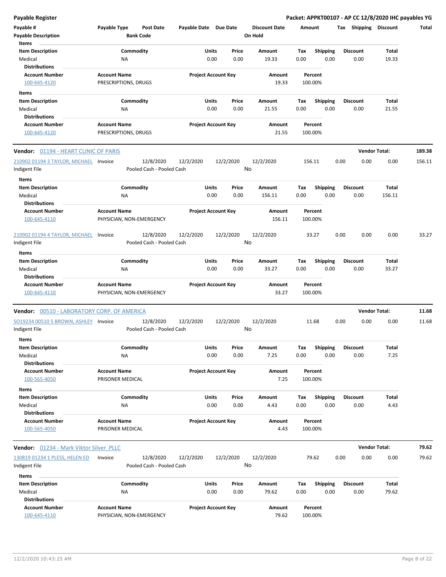| Payable #                                   | Payable Type                                    | <b>Post Date</b>          | Payable Date Due Date |                            |       | <b>Discount Date</b> | Amount |                    | Tax  | Shipping             | <b>Discount</b> | Total  |
|---------------------------------------------|-------------------------------------------------|---------------------------|-----------------------|----------------------------|-------|----------------------|--------|--------------------|------|----------------------|-----------------|--------|
| <b>Payable Description</b>                  |                                                 | <b>Bank Code</b>          |                       |                            |       | On Hold              |        |                    |      |                      |                 |        |
| Items                                       |                                                 |                           |                       |                            |       |                      |        |                    |      |                      |                 |        |
| <b>Item Description</b>                     |                                                 | Commodity                 |                       | Units                      | Price | Amount               | Tax    | Shipping           |      | <b>Discount</b>      | Total           |        |
| Medical<br><b>Distributions</b>             | ΝA                                              |                           |                       | 0.00                       | 0.00  | 19.33                | 0.00   | 0.00               |      | 0.00                 | 19.33           |        |
| <b>Account Number</b>                       | <b>Account Name</b>                             |                           |                       | <b>Project Account Key</b> |       | Amount               |        | Percent            |      |                      |                 |        |
| 100-645-4120                                | PRESCRIPTIONS, DRUGS                            |                           |                       |                            |       | 19.33                |        | 100.00%            |      |                      |                 |        |
|                                             |                                                 |                           |                       |                            |       |                      |        |                    |      |                      |                 |        |
| Items<br><b>Item Description</b>            |                                                 | Commodity                 |                       | Units                      | Price | Amount               | Tax    | <b>Shipping</b>    |      | <b>Discount</b>      | Total           |        |
| Medical                                     | ΝA                                              |                           |                       | 0.00                       | 0.00  | 21.55                | 0.00   | 0.00               |      | 0.00                 | 21.55           |        |
| <b>Distributions</b>                        |                                                 |                           |                       |                            |       |                      |        |                    |      |                      |                 |        |
| <b>Account Number</b>                       | <b>Account Name</b>                             |                           |                       | <b>Project Account Key</b> |       | Amount               |        | Percent            |      |                      |                 |        |
| 100-645-4120                                | PRESCRIPTIONS, DRUGS                            |                           |                       |                            |       | 21.55                |        | 100.00%            |      |                      |                 |        |
| Vendor: 01194 - HEART CLINIC OF PARIS       |                                                 |                           |                       |                            |       |                      |        |                    |      | <b>Vendor Total:</b> |                 | 189.38 |
| 210902 01194 3 TAYLOR, MICHAEL Invoice      |                                                 | 12/8/2020                 | 12/2/2020             | 12/2/2020                  |       | 12/2/2020            |        | 156.11             | 0.00 | 0.00                 | 0.00            | 156.11 |
| Indigent File                               |                                                 | Pooled Cash - Pooled Cash |                       |                            |       | No                   |        |                    |      |                      |                 |        |
| Items                                       |                                                 |                           |                       |                            |       |                      |        |                    |      |                      |                 |        |
| <b>Item Description</b>                     |                                                 | Commodity                 |                       | Units                      | Price | Amount               | Tax    | <b>Shipping</b>    |      | <b>Discount</b>      | Total           |        |
| Medical                                     | ΝA                                              |                           |                       | 0.00                       | 0.00  | 156.11               | 0.00   | 0.00               |      | 0.00                 | 156.11          |        |
| <b>Distributions</b>                        |                                                 |                           |                       |                            |       |                      |        |                    |      |                      |                 |        |
| <b>Account Number</b>                       | <b>Account Name</b>                             |                           |                       | <b>Project Account Key</b> |       | Amount               |        | Percent            |      |                      |                 |        |
| 100-645-4110                                | PHYSICIAN, NON-EMERGENCY                        |                           |                       |                            |       | 156.11               |        | 100.00%            |      |                      |                 |        |
| 210902 01194 4 TAYLOR, MICHAEL              | Invoice                                         | 12/8/2020                 | 12/2/2020             | 12/2/2020                  |       | 12/2/2020            |        | 33.27              | 0.00 | 0.00                 | 0.00            | 33.27  |
| Indigent File                               |                                                 | Pooled Cash - Pooled Cash |                       |                            |       | No                   |        |                    |      |                      |                 |        |
| Items                                       |                                                 |                           |                       |                            |       |                      |        |                    |      |                      |                 |        |
| <b>Item Description</b>                     |                                                 | Commodity                 |                       | Units                      | Price | Amount               | Tax    | Shipping           |      | <b>Discount</b>      | Total           |        |
| Medical                                     | ΝA                                              |                           |                       | 0.00                       | 0.00  | 33.27                | 0.00   | 0.00               |      | 0.00                 | 33.27           |        |
| <b>Distributions</b>                        |                                                 |                           |                       |                            |       |                      |        |                    |      |                      |                 |        |
| <b>Account Number</b><br>100-645-4110       | <b>Account Name</b><br>PHYSICIAN, NON-EMERGENCY |                           |                       | <b>Project Account Key</b> |       | Amount<br>33.27      |        | Percent<br>100.00% |      |                      |                 |        |
| Vendor: 00510 - LABORATORY CORP. OF AMERICA |                                                 |                           |                       |                            |       |                      |        |                    |      | <b>Vendor Total:</b> |                 | 11.68  |
| SO19234 00510 5 BROWN, ASHLEY Invoice       |                                                 | 12/8/2020                 | 12/2/2020             | 12/2/2020                  |       | 12/2/2020            |        | 11.68              | 0.00 | 0.00                 | 0.00            | 11.68  |
| Indigent File                               |                                                 | Pooled Cash - Pooled Cash |                       |                            |       | No                   |        |                    |      |                      |                 |        |
| <b>Items</b>                                |                                                 |                           |                       |                            |       |                      |        |                    |      |                      |                 |        |
| <b>Item Description</b>                     |                                                 | Commodity                 |                       | Units                      | Price | Amount               | Tax    | <b>Shipping</b>    |      | <b>Discount</b>      | Total           |        |
| Medical                                     | <b>NA</b>                                       |                           |                       | 0.00                       | 0.00  | 7.25                 | 0.00   | 0.00               |      | 0.00                 | 7.25            |        |
| <b>Distributions</b>                        |                                                 |                           |                       |                            |       |                      |        | Percent            |      |                      |                 |        |
| <b>Account Number</b><br>100-565-4050       | <b>Account Name</b><br>PRISONER MEDICAL         |                           |                       | <b>Project Account Key</b> |       | Amount<br>7.25       |        | 100.00%            |      |                      |                 |        |
|                                             |                                                 |                           |                       |                            |       |                      |        |                    |      |                      |                 |        |
| Items<br><b>Item Description</b>            |                                                 | Commodity                 |                       | Units                      | Price | Amount               | Tax    | Shipping           |      | <b>Discount</b>      | Total           |        |
| Medical                                     | ΝA                                              |                           |                       | 0.00                       | 0.00  | 4.43                 | 0.00   | 0.00               |      | 0.00                 | 4.43            |        |
| <b>Distributions</b>                        |                                                 |                           |                       |                            |       |                      |        |                    |      |                      |                 |        |
| <b>Account Number</b>                       | <b>Account Name</b>                             |                           |                       | <b>Project Account Key</b> |       | Amount               |        | Percent            |      |                      |                 |        |
| 100-565-4050                                | PRISONER MEDICAL                                |                           |                       |                            |       | 4.43                 |        | 100.00%            |      |                      |                 |        |
| Vendor: 01234 - Mark Viktor Silver PLLC     |                                                 |                           |                       |                            |       |                      |        |                    |      | <b>Vendor Total:</b> |                 | 79.62  |
| 130819 01234 1 PLESS, HELEN ED              | Invoice                                         | 12/8/2020                 | 12/2/2020             | 12/2/2020                  |       | 12/2/2020            |        | 79.62              | 0.00 | 0.00                 | 0.00            | 79.62  |
| Indigent File                               |                                                 | Pooled Cash - Pooled Cash |                       |                            |       | No                   |        |                    |      |                      |                 |        |
| Items                                       |                                                 |                           |                       |                            |       |                      |        |                    |      |                      |                 |        |
| <b>Item Description</b>                     |                                                 | Commodity                 |                       | Units                      | Price | Amount               | Tax    | <b>Shipping</b>    |      | <b>Discount</b>      | Total           |        |
| Medical                                     | ΝA                                              |                           |                       | 0.00                       | 0.00  | 79.62                | 0.00   | 0.00               |      | 0.00                 | 79.62           |        |
| <b>Distributions</b>                        |                                                 |                           |                       |                            |       |                      |        |                    |      |                      |                 |        |
| <b>Account Number</b><br>100-645-4110       | <b>Account Name</b><br>PHYSICIAN, NON-EMERGENCY |                           |                       | <b>Project Account Key</b> |       | Amount<br>79.62      |        | Percent<br>100.00% |      |                      |                 |        |
|                                             |                                                 |                           |                       |                            |       |                      |        |                    |      |                      |                 |        |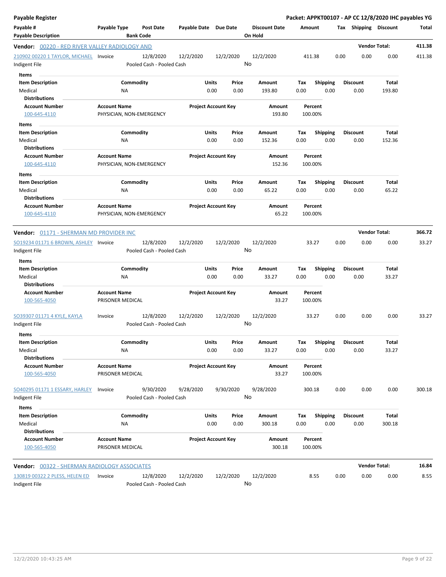| <b>Payable Register</b>                                                      |                          |                                        |                            |       |                 |                        |      |                    |      |                       | Packet: APPKT00107 - AP CC 12/8/2020 IHC payables YG |              |
|------------------------------------------------------------------------------|--------------------------|----------------------------------------|----------------------------|-------|-----------------|------------------------|------|--------------------|------|-----------------------|------------------------------------------------------|--------------|
| Payable #                                                                    | Payable Type             | <b>Post Date</b>                       | Payable Date Due Date      |       |                 | <b>Discount Date</b>   |      | Amount             |      | Tax Shipping Discount |                                                      | <b>Total</b> |
| <b>Payable Description</b><br>Vendor: 00220 - RED RIVER VALLEY RADIOLOGY AND |                          | <b>Bank Code</b>                       |                            |       |                 | On Hold                |      |                    |      |                       | <b>Vendor Total:</b>                                 | 411.38       |
|                                                                              |                          |                                        |                            |       |                 |                        |      |                    |      |                       |                                                      |              |
| 210902 00220 1 TAYLOR, MICHAEL Invoice<br>Indigent File                      |                          | 12/8/2020<br>Pooled Cash - Pooled Cash | 12/2/2020                  |       | 12/2/2020<br>No | 12/2/2020              |      | 411.38             | 0.00 | 0.00                  | 0.00                                                 | 411.38       |
| Items                                                                        |                          |                                        |                            |       |                 |                        |      |                    |      |                       |                                                      |              |
| <b>Item Description</b>                                                      | Commodity                |                                        |                            | Units | Price           | Amount                 | Tax  | <b>Shipping</b>    |      | <b>Discount</b>       | Total                                                |              |
| Medical                                                                      | ΝA                       |                                        |                            | 0.00  | 0.00            | 193.80                 | 0.00 | 0.00               |      | 0.00                  | 193.80                                               |              |
| <b>Distributions</b>                                                         |                          |                                        |                            |       |                 |                        |      |                    |      |                       |                                                      |              |
| <b>Account Number</b>                                                        | <b>Account Name</b>      |                                        | <b>Project Account Key</b> |       |                 | Amount                 |      | Percent            |      |                       |                                                      |              |
| 100-645-4110                                                                 | PHYSICIAN, NON-EMERGENCY |                                        |                            |       |                 | 193.80                 |      | 100.00%            |      |                       |                                                      |              |
| Items                                                                        |                          |                                        |                            |       |                 |                        |      |                    |      |                       |                                                      |              |
| <b>Item Description</b>                                                      | Commodity                |                                        |                            | Units | Price           | Amount                 | Tax  | <b>Shipping</b>    |      | <b>Discount</b>       | Total                                                |              |
| Medical                                                                      | <b>NA</b>                |                                        |                            | 0.00  | 0.00            | 152.36                 | 0.00 | 0.00               |      | 0.00                  | 152.36                                               |              |
| <b>Distributions</b>                                                         |                          |                                        |                            |       |                 |                        |      |                    |      |                       |                                                      |              |
| <b>Account Number</b>                                                        | <b>Account Name</b>      |                                        | <b>Project Account Key</b> |       |                 | Amount                 |      | Percent            |      |                       |                                                      |              |
| 100-645-4110                                                                 | PHYSICIAN, NON-EMERGENCY |                                        |                            |       |                 | 152.36                 |      | 100.00%            |      |                       |                                                      |              |
|                                                                              |                          |                                        |                            |       |                 |                        |      |                    |      |                       |                                                      |              |
| Items                                                                        |                          |                                        |                            |       |                 |                        |      |                    |      |                       |                                                      |              |
| <b>Item Description</b>                                                      | Commodity                |                                        |                            | Units | Price           | Amount                 | Tax  | <b>Shipping</b>    |      | <b>Discount</b>       | <b>Total</b>                                         |              |
| Medical                                                                      | <b>NA</b>                |                                        |                            | 0.00  | 0.00            | 65.22                  | 0.00 | 0.00               |      | 0.00                  | 65.22                                                |              |
| <b>Distributions</b>                                                         |                          |                                        |                            |       |                 |                        |      |                    |      |                       |                                                      |              |
| <b>Account Number</b>                                                        | <b>Account Name</b>      |                                        | <b>Project Account Key</b> |       |                 | <b>Amount</b><br>65.22 |      | Percent<br>100.00% |      |                       |                                                      |              |
| 100-645-4110                                                                 | PHYSICIAN, NON-EMERGENCY |                                        |                            |       |                 |                        |      |                    |      |                       |                                                      |              |
| <b>Vendor:</b> 01171 - SHERMAN MD PROVIDER INC                               |                          |                                        |                            |       |                 |                        |      |                    |      |                       | <b>Vendor Total:</b>                                 | 366.72       |
| SO19234 01171 6 BROWN, ASHLEY Invoice                                        |                          | 12/8/2020                              | 12/2/2020                  |       | 12/2/2020       | 12/2/2020              |      | 33.27              | 0.00 | 0.00                  | 0.00                                                 | 33.27        |
| Indigent File                                                                |                          | Pooled Cash - Pooled Cash              |                            |       | No              |                        |      |                    |      |                       |                                                      |              |
| Items                                                                        |                          |                                        |                            |       |                 |                        |      |                    |      |                       |                                                      |              |
| <b>Item Description</b>                                                      | Commodity                |                                        |                            | Units | Price           | Amount                 | Tax  | <b>Shipping</b>    |      | <b>Discount</b>       | Total                                                |              |
| Medical                                                                      | <b>NA</b>                |                                        |                            | 0.00  | 0.00            | 33.27                  | 0.00 | 0.00               |      | 0.00                  | 33.27                                                |              |
| <b>Distributions</b>                                                         |                          |                                        |                            |       |                 |                        |      |                    |      |                       |                                                      |              |
| <b>Account Number</b>                                                        | <b>Account Name</b>      |                                        | <b>Project Account Key</b> |       |                 | Amount                 |      | Percent            |      |                       |                                                      |              |
| 100-565-4050                                                                 | PRISONER MEDICAL         |                                        |                            |       |                 | 33.27                  |      | 100.00%            |      |                       |                                                      |              |
| SO39307 01171 4 KYLE, KAYLA                                                  | Invoice                  | 12/8/2020                              | 12/2/2020                  |       | 12/2/2020       | 12/2/2020              |      | 33.27              | 0.00 | 0.00                  | 0.00                                                 | 33.27        |
| Indigent File                                                                |                          | Pooled Cash - Pooled Cash              |                            |       | No              |                        |      |                    |      |                       |                                                      |              |
| Items                                                                        |                          |                                        |                            |       |                 |                        |      |                    |      |                       |                                                      |              |
| <b>Item Description</b>                                                      | Commodity                |                                        |                            | Units | Price           | Amount                 | Tax  | Shipping           |      | <b>Discount</b>       | Total                                                |              |
| Medical                                                                      | NA                       |                                        |                            | 0.00  | 0.00            | 33.27                  | 0.00 | 0.00               |      | 0.00                  | 33.27                                                |              |
| <b>Distributions</b>                                                         |                          |                                        |                            |       |                 |                        |      |                    |      |                       |                                                      |              |
| <b>Account Number</b>                                                        | <b>Account Name</b>      |                                        | <b>Project Account Key</b> |       |                 | Amount                 |      | Percent            |      |                       |                                                      |              |
| 100-565-4050                                                                 | PRISONER MEDICAL         |                                        |                            |       |                 | 33.27                  |      | 100.00%            |      |                       |                                                      |              |
| SO40295 01171 1 ESSARY, HARLEY                                               | Invoice                  | 9/30/2020                              | 9/28/2020                  |       | 9/30/2020       | 9/28/2020              |      | 300.18             | 0.00 | 0.00                  | 0.00                                                 | 300.18       |
| Indigent File                                                                |                          | Pooled Cash - Pooled Cash              |                            |       | No              |                        |      |                    |      |                       |                                                      |              |
|                                                                              |                          |                                        |                            |       |                 |                        |      |                    |      |                       |                                                      |              |
| Items                                                                        |                          |                                        |                            |       |                 |                        |      |                    |      |                       |                                                      |              |
| <b>Item Description</b>                                                      | Commodity                |                                        |                            | Units | Price           | Amount                 | Tax  | <b>Shipping</b>    |      | <b>Discount</b>       | <b>Total</b>                                         |              |
| Medical                                                                      | <b>NA</b>                |                                        |                            | 0.00  | 0.00            | 300.18                 | 0.00 | 0.00               |      | 0.00                  | 300.18                                               |              |
| <b>Distributions</b>                                                         |                          |                                        |                            |       |                 |                        |      |                    |      |                       |                                                      |              |
| <b>Account Number</b>                                                        | <b>Account Name</b>      |                                        | <b>Project Account Key</b> |       |                 | Amount                 |      | Percent            |      |                       |                                                      |              |
| 100-565-4050                                                                 | PRISONER MEDICAL         |                                        |                            |       |                 | 300.18                 |      | 100.00%            |      |                       |                                                      |              |
| Vendor: 00322 - SHERMAN RADIOLOGY ASSOCIATES                                 |                          |                                        |                            |       |                 |                        |      |                    |      |                       | <b>Vendor Total:</b>                                 | 16.84        |
| 130819 00322 2 PLESS, HELEN ED                                               |                          | 12/8/2020                              |                            |       |                 |                        |      | 8.55               | 0.00 | 0.00                  | 0.00                                                 | 8.55         |
| Indigent File                                                                | Invoice                  | Pooled Cash - Pooled Cash              | 12/2/2020                  |       | 12/2/2020<br>No | 12/2/2020              |      |                    |      |                       |                                                      |              |
|                                                                              |                          |                                        |                            |       |                 |                        |      |                    |      |                       |                                                      |              |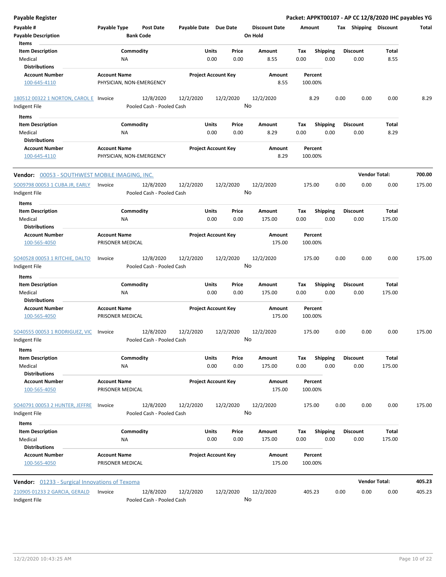| <b>Payable Register</b>                                |                                                 |                                        |                            |                            |       |                                 |                    |                 |      |                       | Packet: APPKT00107 - AP CC 12/8/2020 IHC payables YG |        |
|--------------------------------------------------------|-------------------------------------------------|----------------------------------------|----------------------------|----------------------------|-------|---------------------------------|--------------------|-----------------|------|-----------------------|------------------------------------------------------|--------|
| Payable #<br><b>Payable Description</b>                | Payable Type                                    | <b>Post Date</b><br><b>Bank Code</b>   | Payable Date Due Date      |                            |       | <b>Discount Date</b><br>On Hold | Amount             |                 |      | Tax Shipping Discount |                                                      | Total  |
| Items<br><b>Item Description</b>                       |                                                 | Commodity                              |                            | Units                      | Price | <b>Amount</b>                   | Tax                | <b>Shipping</b> |      | <b>Discount</b>       | <b>Total</b>                                         |        |
| Medical                                                | <b>NA</b>                                       |                                        |                            | 0.00                       | 0.00  | 8.55                            | 0.00               | 0.00            |      | 0.00                  | 8.55                                                 |        |
| <b>Distributions</b>                                   |                                                 |                                        |                            |                            |       |                                 |                    |                 |      |                       |                                                      |        |
| <b>Account Number</b>                                  | <b>Account Name</b>                             |                                        |                            | <b>Project Account Key</b> |       | Amount                          | Percent            |                 |      |                       |                                                      |        |
| 100-645-4110                                           | PHYSICIAN, NON-EMERGENCY                        |                                        |                            |                            |       | 8.55                            | 100.00%            |                 |      |                       |                                                      |        |
| 180512 00322 1 NORTON, CAROL E Invoice                 |                                                 | 12/8/2020                              | 12/2/2020                  | 12/2/2020                  |       | 12/2/2020                       | 8.29               |                 | 0.00 | 0.00                  | 0.00                                                 | 8.29   |
| Indigent File                                          |                                                 | Pooled Cash - Pooled Cash              |                            |                            |       | No                              |                    |                 |      |                       |                                                      |        |
| Items                                                  |                                                 |                                        |                            |                            |       |                                 |                    |                 |      |                       |                                                      |        |
| <b>Item Description</b>                                |                                                 | Commodity                              |                            | Units                      | Price | Amount                          | Tax                | <b>Shipping</b> |      | <b>Discount</b>       | Total                                                |        |
| Medical                                                | <b>NA</b>                                       |                                        |                            | 0.00                       | 0.00  | 8.29                            | 0.00               | 0.00            |      | 0.00                  | 8.29                                                 |        |
| Distributions                                          |                                                 |                                        |                            |                            |       |                                 |                    |                 |      |                       |                                                      |        |
| <b>Account Number</b><br>100-645-4110                  | <b>Account Name</b><br>PHYSICIAN, NON-EMERGENCY |                                        | <b>Project Account Key</b> |                            |       | Amount<br>8.29                  | Percent<br>100.00% |                 |      |                       |                                                      |        |
| <b>Vendor:</b> 00053 - SOUTHWEST MOBILE IMAGING, INC.  |                                                 |                                        |                            |                            |       |                                 |                    |                 |      | <b>Vendor Total:</b>  |                                                      | 700.00 |
| SO09798 00053 1 CUBA JR, EARLY<br>Indigent File        | Invoice                                         | 12/8/2020<br>Pooled Cash - Pooled Cash | 12/2/2020                  | 12/2/2020                  |       | 12/2/2020<br>No                 | 175.00             |                 | 0.00 | 0.00                  | 0.00                                                 | 175.00 |
| Items                                                  |                                                 |                                        |                            |                            |       |                                 |                    |                 |      |                       |                                                      |        |
| <b>Item Description</b>                                |                                                 | Commodity                              |                            | Units                      | Price | Amount                          | Tax                | <b>Shipping</b> |      | <b>Discount</b>       | Total                                                |        |
| Medical                                                | ΝA                                              |                                        |                            | 0.00                       | 0.00  | 175.00                          | 0.00               | 0.00            |      | 0.00                  | 175.00                                               |        |
| Distributions                                          |                                                 |                                        |                            |                            |       |                                 |                    |                 |      |                       |                                                      |        |
| <b>Account Number</b>                                  | <b>Account Name</b>                             |                                        |                            | <b>Project Account Key</b> |       | Amount                          | Percent            |                 |      |                       |                                                      |        |
| 100-565-4050                                           | PRISONER MEDICAL                                |                                        |                            |                            |       | 175.00                          | 100.00%            |                 |      |                       |                                                      |        |
| SO40528 00053 1 RITCHIE, DALTO<br>Indigent File        | Invoice                                         | 12/8/2020<br>Pooled Cash - Pooled Cash | 12/2/2020                  | 12/2/2020                  |       | 12/2/2020<br>No                 | 175.00             |                 | 0.00 | 0.00                  | 0.00                                                 | 175.00 |
| Items                                                  |                                                 |                                        |                            |                            |       |                                 |                    |                 |      |                       |                                                      |        |
| <b>Item Description</b>                                |                                                 | Commodity                              |                            | Units                      | Price | Amount                          | Tax                | <b>Shipping</b> |      | <b>Discount</b>       | Total                                                |        |
| Medical                                                | <b>NA</b>                                       |                                        |                            | 0.00                       | 0.00  | 175.00                          | 0.00               | 0.00            |      | 0.00                  | 175.00                                               |        |
| <b>Distributions</b>                                   |                                                 |                                        |                            |                            |       |                                 |                    |                 |      |                       |                                                      |        |
| <b>Account Number</b>                                  | <b>Account Name</b>                             |                                        |                            | <b>Project Account Key</b> |       | Amount                          | Percent            |                 |      |                       |                                                      |        |
| 100-565-4050                                           | PRISONER MEDICAL                                |                                        |                            |                            |       | 175.00                          | 100.00%            |                 |      |                       |                                                      |        |
| <b>SO40555 00053 1 RODRIGUEZ, VIC</b><br>Indigent File | Invoice                                         | 12/8/2020<br>Pooled Cash - Pooled Cash | 12/2/2020                  | 12/2/2020                  | No    | 12/2/2020                       | 175.00             |                 | 0.00 | 0.00                  | 0.00                                                 | 175.00 |
| Items                                                  |                                                 |                                        |                            |                            |       |                                 |                    |                 |      |                       |                                                      |        |
| <b>Item Description</b>                                |                                                 | Commodity                              |                            | Units                      | Price | Amount                          | Tax                | <b>Shipping</b> |      | <b>Discount</b>       | Total                                                |        |
| Medical                                                | NA                                              |                                        |                            | 0.00                       | 0.00  | 175.00                          | 0.00               | 0.00            |      | 0.00                  | 175.00                                               |        |
| <b>Distributions</b>                                   |                                                 |                                        |                            |                            |       |                                 |                    |                 |      |                       |                                                      |        |
| <b>Account Number</b><br>100-565-4050                  | <b>Account Name</b><br>PRISONER MEDICAL         |                                        |                            | <b>Project Account Key</b> |       | Amount<br>175.00                | Percent<br>100.00% |                 |      |                       |                                                      |        |
| SO40791 00053 2 HUNTER, JEFFRE                         | Invoice                                         | 12/8/2020                              | 12/2/2020                  | 12/2/2020                  |       | 12/2/2020                       | 175.00             |                 | 0.00 | 0.00                  | 0.00                                                 | 175.00 |
| Indigent File                                          |                                                 | Pooled Cash - Pooled Cash              |                            |                            |       | No                              |                    |                 |      |                       |                                                      |        |
| Items                                                  |                                                 |                                        |                            |                            |       |                                 |                    |                 |      |                       |                                                      |        |
| <b>Item Description</b>                                |                                                 | Commodity                              |                            | Units                      | Price | Amount                          | Tax                | Shipping        |      | <b>Discount</b>       | Total                                                |        |
| Medical                                                | NA                                              |                                        |                            | 0.00                       | 0.00  | 175.00                          | 0.00               | 0.00            |      | 0.00                  | 175.00                                               |        |
| <b>Distributions</b>                                   |                                                 |                                        |                            |                            |       |                                 |                    |                 |      |                       |                                                      |        |
| <b>Account Number</b><br>100-565-4050                  | <b>Account Name</b><br>PRISONER MEDICAL         |                                        |                            | <b>Project Account Key</b> |       | Amount<br>175.00                | Percent<br>100.00% |                 |      |                       |                                                      |        |
| Vendor: 01233 - Surgical Innovations of Texoma         |                                                 |                                        |                            |                            |       |                                 |                    |                 |      | <b>Vendor Total:</b>  |                                                      | 405.23 |
| 210905 01233 2 GARCIA, GERALD                          | Invoice                                         | 12/8/2020                              | 12/2/2020                  | 12/2/2020                  |       | 12/2/2020                       | 405.23             |                 | 0.00 | 0.00                  | 0.00                                                 | 405.23 |
| Indigent File                                          |                                                 | Pooled Cash - Pooled Cash              |                            |                            |       | No                              |                    |                 |      |                       |                                                      |        |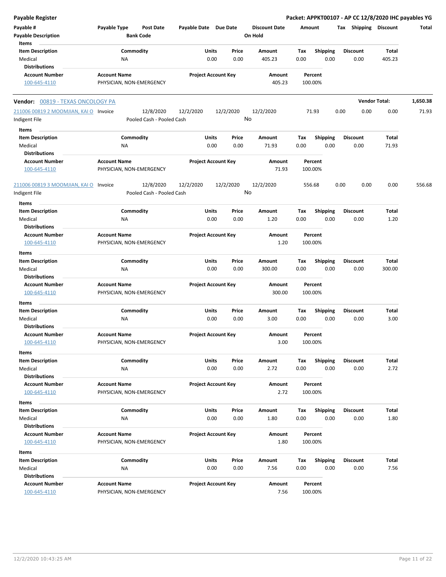| <b>Payable Register</b>                                 |                                                 |                                        |                       |                            |       |                                 |             |                    |      |                         |                 | Packet: APPKT00107 - AP CC 12/8/2020 IHC payables YG |
|---------------------------------------------------------|-------------------------------------------------|----------------------------------------|-----------------------|----------------------------|-------|---------------------------------|-------------|--------------------|------|-------------------------|-----------------|------------------------------------------------------|
| Payable #<br><b>Payable Description</b>                 | Payable Type                                    | <b>Post Date</b><br><b>Bank Code</b>   | Payable Date Due Date |                            |       | <b>Discount Date</b><br>On Hold | Amount      |                    |      | Tax Shipping Discount   |                 | Total                                                |
| Items                                                   |                                                 |                                        |                       |                            |       |                                 |             |                    |      |                         |                 |                                                      |
| <b>Item Description</b><br>Medical                      | Commodity<br>NA                                 |                                        |                       | Units<br>Price<br>0.00     | 0.00  | Amount<br>405.23                | Tax<br>0.00 | Shipping<br>0.00   |      | <b>Discount</b><br>0.00 | Total<br>405.23 |                                                      |
| <b>Distributions</b>                                    |                                                 |                                        |                       |                            |       |                                 |             |                    |      |                         |                 |                                                      |
| <b>Account Number</b>                                   | <b>Account Name</b>                             |                                        |                       | <b>Project Account Key</b> |       | Amount                          |             | Percent            |      |                         |                 |                                                      |
| 100-645-4110                                            | PHYSICIAN, NON-EMERGENCY                        |                                        |                       |                            |       | 405.23                          |             | 100.00%            |      |                         |                 |                                                      |
| Vendor: 00819 - TEXAS ONCOLOGY PA                       |                                                 |                                        |                       |                            |       |                                 |             |                    |      | <b>Vendor Total:</b>    |                 | 1,650.38                                             |
| 211006 00819 2 MOOMJIAN, KAI O Invoice                  |                                                 | 12/8/2020                              | 12/2/2020             | 12/2/2020                  |       | 12/2/2020                       |             | 71.93              | 0.00 | 0.00                    | 0.00            | 71.93                                                |
| Indigent File                                           |                                                 | Pooled Cash - Pooled Cash              |                       |                            | No    |                                 |             |                    |      |                         |                 |                                                      |
| Items                                                   |                                                 |                                        |                       |                            |       |                                 |             |                    |      |                         |                 |                                                      |
| <b>Item Description</b>                                 | Commodity                                       |                                        |                       | Units<br>Price             |       | Amount                          | Tax         | <b>Shipping</b>    |      | <b>Discount</b>         | Total           |                                                      |
| Medical                                                 | ΝA                                              |                                        |                       | 0.00                       | 0.00  | 71.93                           | 0.00        | 0.00               |      | 0.00                    | 71.93           |                                                      |
| <b>Distributions</b>                                    |                                                 |                                        |                       |                            |       |                                 |             |                    |      |                         |                 |                                                      |
| <b>Account Number</b><br>100-645-4110                   | <b>Account Name</b><br>PHYSICIAN, NON-EMERGENCY |                                        |                       | <b>Project Account Key</b> |       | Amount<br>71.93                 |             | Percent<br>100.00% |      |                         |                 |                                                      |
| 211006 00819 3 MOOMJIAN, KAI O Invoice<br>Indigent File |                                                 | 12/8/2020<br>Pooled Cash - Pooled Cash | 12/2/2020             | 12/2/2020                  | No    | 12/2/2020                       |             | 556.68             | 0.00 | 0.00                    | 0.00            | 556.68                                               |
|                                                         |                                                 |                                        |                       |                            |       |                                 |             |                    |      |                         |                 |                                                      |
| Items<br><b>Item Description</b>                        | Commodity                                       |                                        |                       | Units<br>Price             |       | Amount                          | Tax         | <b>Shipping</b>    |      | <b>Discount</b>         | Total           |                                                      |
| Medical                                                 | ΝA                                              |                                        |                       | 0.00                       | 0.00  | 1.20                            | 0.00        | 0.00               |      | 0.00                    | 1.20            |                                                      |
| <b>Distributions</b>                                    |                                                 |                                        |                       |                            |       |                                 |             |                    |      |                         |                 |                                                      |
| <b>Account Number</b>                                   | <b>Account Name</b>                             |                                        |                       | <b>Project Account Key</b> |       | Amount                          |             | Percent            |      |                         |                 |                                                      |
| 100-645-4110                                            | PHYSICIAN, NON-EMERGENCY                        |                                        |                       |                            |       | 1.20                            |             | 100.00%            |      |                         |                 |                                                      |
| Items                                                   |                                                 |                                        |                       |                            |       |                                 |             |                    |      |                         |                 |                                                      |
| <b>Item Description</b>                                 | Commodity                                       |                                        |                       | Units<br>Price             |       | Amount                          | Tax         | Shipping           |      | <b>Discount</b>         | Total           |                                                      |
| Medical                                                 | NA                                              |                                        |                       | 0.00                       | 0.00  | 300.00                          | 0.00        | 0.00               |      | 0.00                    | 300.00          |                                                      |
| <b>Distributions</b>                                    |                                                 |                                        |                       |                            |       |                                 |             |                    |      |                         |                 |                                                      |
| <b>Account Number</b><br>100-645-4110                   | <b>Account Name</b><br>PHYSICIAN, NON-EMERGENCY |                                        |                       | <b>Project Account Key</b> |       | Amount<br>300.00                |             | Percent<br>100.00% |      |                         |                 |                                                      |
| Items                                                   |                                                 |                                        |                       |                            |       |                                 |             |                    |      |                         |                 |                                                      |
| <b>Item Description</b>                                 | Commodity                                       |                                        |                       | Units<br>Price             |       | Amount                          | Tax         | <b>Shipping</b>    |      | <b>Discount</b>         | Total           |                                                      |
| Medical                                                 | NA                                              |                                        |                       | 0.00                       | 0.00  | 3.00                            | 0.00        | 0.00               |      | 0.00                    | 3.00            |                                                      |
| <b>Distributions</b>                                    |                                                 |                                        |                       |                            |       |                                 |             |                    |      |                         |                 |                                                      |
| <b>Account Number</b>                                   | <b>Account Name</b>                             |                                        |                       | <b>Project Account Key</b> |       | Amount                          |             | Percent            |      |                         |                 |                                                      |
| 100-645-4110                                            | PHYSICIAN, NON-EMERGENCY                        |                                        |                       |                            |       | 3.00                            |             | 100.00%            |      |                         |                 |                                                      |
| Items                                                   |                                                 |                                        |                       |                            |       |                                 |             |                    |      |                         |                 |                                                      |
| <b>Item Description</b>                                 | Commodity                                       |                                        |                       | Units                      | Price | Amount                          | Tax         | Shipping           |      | <b>Discount</b>         | Total           |                                                      |
| Medical                                                 | ΝA                                              |                                        |                       | 0.00                       | 0.00  | 2.72                            | 0.00        | 0.00               |      | 0.00                    | 2.72            |                                                      |
| <b>Distributions</b>                                    |                                                 |                                        |                       |                            |       |                                 |             |                    |      |                         |                 |                                                      |
| <b>Account Number</b>                                   | <b>Account Name</b>                             |                                        |                       | <b>Project Account Key</b> |       | Amount                          |             | Percent            |      |                         |                 |                                                      |
| 100-645-4110                                            | PHYSICIAN, NON-EMERGENCY                        |                                        |                       |                            |       | 2.72                            |             | 100.00%            |      |                         |                 |                                                      |
| Items                                                   |                                                 |                                        |                       |                            |       |                                 |             |                    |      |                         |                 |                                                      |
| <b>Item Description</b>                                 | Commodity                                       |                                        |                       | Units                      | Price | Amount                          | Tax         | Shipping           |      | <b>Discount</b>         | Total           |                                                      |
| Medical                                                 | NA                                              |                                        |                       | 0.00                       | 0.00  | 1.80                            | 0.00        | 0.00               |      | 0.00                    | 1.80            |                                                      |
| <b>Distributions</b>                                    |                                                 |                                        |                       |                            |       |                                 |             |                    |      |                         |                 |                                                      |
| <b>Account Number</b>                                   | <b>Account Name</b>                             |                                        |                       | <b>Project Account Key</b> |       | Amount                          |             | Percent            |      |                         |                 |                                                      |
| 100-645-4110                                            | PHYSICIAN, NON-EMERGENCY                        |                                        |                       |                            |       | 1.80                            |             | 100.00%            |      |                         |                 |                                                      |
| Items                                                   |                                                 |                                        |                       |                            |       |                                 |             |                    |      |                         |                 |                                                      |
| <b>Item Description</b>                                 | Commodity                                       |                                        |                       | Units<br>Price             |       | Amount                          | Tax         | <b>Shipping</b>    |      | <b>Discount</b>         | Total           |                                                      |
| Medical                                                 | NA                                              |                                        |                       | 0.00                       | 0.00  | 7.56                            | 0.00        | 0.00               |      | 0.00                    | 7.56            |                                                      |
| <b>Distributions</b>                                    |                                                 |                                        |                       |                            |       |                                 |             |                    |      |                         |                 |                                                      |
| <b>Account Number</b>                                   | <b>Account Name</b>                             |                                        |                       | <b>Project Account Key</b> |       | Amount                          |             | Percent            |      |                         |                 |                                                      |
| 100-645-4110                                            | PHYSICIAN, NON-EMERGENCY                        |                                        |                       |                            |       | 7.56                            |             | 100.00%            |      |                         |                 |                                                      |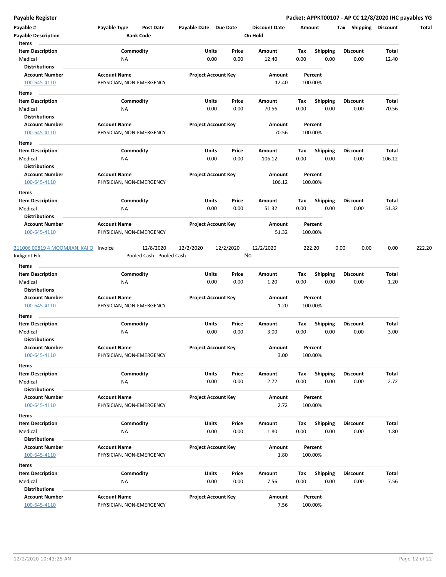| Payable #                              | Payable Type                                    | <b>Post Date</b>          | Payable Date Due Date |                            | <b>Discount Date</b> |      | Amount             | <b>Shipping</b><br>Tax | <b>Discount</b> | Total  |
|----------------------------------------|-------------------------------------------------|---------------------------|-----------------------|----------------------------|----------------------|------|--------------------|------------------------|-----------------|--------|
| <b>Payable Description</b><br>Items    |                                                 | <b>Bank Code</b>          |                       |                            | On Hold              |      |                    |                        |                 |        |
| <b>Item Description</b>                |                                                 | Commodity                 | Units                 | Price                      | Amount               | Tax  | Shipping           | Discount               | Total           |        |
| Medical                                | NA                                              |                           |                       | 0.00<br>0.00               | 12.40                | 0.00 | 0.00               | 0.00                   | 12.40           |        |
| <b>Distributions</b>                   |                                                 |                           |                       |                            |                      |      |                    |                        |                 |        |
| <b>Account Number</b>                  | <b>Account Name</b>                             |                           |                       | <b>Project Account Key</b> | Amount               |      | Percent            |                        |                 |        |
| 100-645-4110                           | PHYSICIAN, NON-EMERGENCY                        |                           |                       |                            | 12.40                |      | 100.00%            |                        |                 |        |
| Items                                  |                                                 |                           |                       |                            |                      |      |                    |                        |                 |        |
| <b>Item Description</b>                |                                                 | Commodity                 | Units                 | Price                      | Amount               | Тах  | <b>Shipping</b>    | <b>Discount</b>        | Total           |        |
| Medical                                | <b>NA</b>                                       |                           |                       | 0.00<br>0.00               | 70.56                | 0.00 | 0.00               | 0.00                   | 70.56           |        |
| <b>Distributions</b>                   |                                                 |                           |                       |                            |                      |      |                    |                        |                 |        |
| <b>Account Number</b>                  | <b>Account Name</b>                             |                           |                       | <b>Project Account Key</b> | Amount               |      | Percent            |                        |                 |        |
| 100-645-4110                           | PHYSICIAN, NON-EMERGENCY                        |                           |                       |                            | 70.56                |      | 100.00%            |                        |                 |        |
| Items                                  |                                                 |                           |                       |                            |                      |      |                    |                        |                 |        |
| <b>Item Description</b>                |                                                 | Commodity                 | Units                 | Price                      | Amount               | Tax  | <b>Shipping</b>    | <b>Discount</b>        | Total           |        |
| Medical                                | NA                                              |                           |                       | 0.00<br>0.00               | 106.12               | 0.00 | 0.00               | 0.00                   | 106.12          |        |
| <b>Distributions</b>                   |                                                 |                           |                       |                            |                      |      |                    |                        |                 |        |
| <b>Account Number</b>                  | <b>Account Name</b>                             |                           |                       | <b>Project Account Key</b> | Amount               |      | Percent            |                        |                 |        |
| 100-645-4110                           | PHYSICIAN, NON-EMERGENCY                        |                           |                       |                            | 106.12               |      | 100.00%            |                        |                 |        |
| Items                                  |                                                 |                           |                       |                            |                      |      |                    |                        |                 |        |
| <b>Item Description</b>                |                                                 | Commodity                 | Units                 | Price                      | Amount               | Tax  | <b>Shipping</b>    | <b>Discount</b>        | Total           |        |
| Medical                                | ΝA                                              |                           |                       | 0.00<br>0.00               | 51.32                | 0.00 | 0.00               | 0.00                   | 51.32           |        |
| <b>Distributions</b>                   |                                                 |                           |                       |                            |                      |      |                    |                        |                 |        |
| <b>Account Number</b>                  | <b>Account Name</b>                             |                           |                       | <b>Project Account Key</b> | Amount               |      | Percent            |                        |                 |        |
| 100-645-4110                           | PHYSICIAN, NON-EMERGENCY                        |                           |                       |                            | 51.32                |      | 100.00%            |                        |                 |        |
| 211006 00819 4 MOOMJIAN, KAI O Invoice |                                                 | 12/8/2020                 | 12/2/2020             | 12/2/2020                  | 12/2/2020            |      | 222.20             | 0.00<br>0.00           | 0.00            | 222.20 |
| Indigent File                          |                                                 | Pooled Cash - Pooled Cash |                       |                            | No                   |      |                    |                        |                 |        |
| Items                                  |                                                 |                           |                       |                            |                      |      |                    |                        |                 |        |
| <b>Item Description</b>                |                                                 | Commodity                 | Units                 | Price                      | Amount               | Tax  | <b>Shipping</b>    | <b>Discount</b>        | Total           |        |
| Medical                                | NA                                              |                           |                       | 0.00<br>0.00               | 1.20                 | 0.00 | 0.00               | 0.00                   | 1.20            |        |
| <b>Distributions</b>                   |                                                 |                           |                       |                            |                      |      |                    |                        |                 |        |
| <b>Account Number</b>                  | <b>Account Name</b>                             |                           |                       | <b>Project Account Key</b> | Amount               |      | Percent            |                        |                 |        |
| 100-645-4110                           | PHYSICIAN, NON-EMERGENCY                        |                           |                       |                            | 1.20                 |      | 100.00%            |                        |                 |        |
| Items                                  |                                                 |                           |                       |                            |                      |      |                    |                        |                 |        |
| <b>Item Description</b>                |                                                 | Commodity                 | Units                 | Price                      | Amount               | Tax  | <b>Shipping</b>    | Discount               | Total           |        |
| Medical                                | <b>NA</b>                                       |                           |                       | 0.00<br>0.00               | 3.00                 | 0.00 | 0.00               | 0.00                   | 3.00            |        |
| <b>Distributions</b>                   |                                                 |                           |                       |                            |                      |      |                    |                        |                 |        |
| <b>Account Number</b>                  | <b>Account Name</b>                             |                           |                       | <b>Project Account Key</b> | Amount               |      | Percent            |                        |                 |        |
| 100-645-4110                           | PHYSICIAN, NON-EMERGENCY                        |                           |                       |                            | 3.00                 |      | 100.00%            |                        |                 |        |
| Items                                  |                                                 |                           |                       |                            |                      |      |                    |                        |                 |        |
| <b>Item Description</b>                |                                                 | Commodity                 | Units                 | Price                      | Amount               | Tax  | <b>Shipping</b>    | <b>Discount</b>        | Total           |        |
| Medical                                | NA                                              |                           |                       | 0.00<br>0.00               | 2.72                 | 0.00 | 0.00               | 0.00                   | 2.72            |        |
| <b>Distributions</b>                   |                                                 |                           |                       |                            |                      |      |                    |                        |                 |        |
| <b>Account Number</b>                  | <b>Account Name</b>                             |                           |                       | <b>Project Account Key</b> | Amount               |      | Percent            |                        |                 |        |
| 100-645-4110                           | PHYSICIAN, NON-EMERGENCY                        |                           |                       |                            | 2.72                 |      | 100.00%            |                        |                 |        |
| Items                                  |                                                 |                           |                       |                            |                      |      |                    |                        |                 |        |
| <b>Item Description</b>                |                                                 | Commodity                 | Units                 | Price                      | Amount               | Tax  | <b>Shipping</b>    | <b>Discount</b>        | Total           |        |
| Medical                                | <b>NA</b>                                       |                           |                       | 0.00<br>0.00               | 1.80                 | 0.00 | 0.00               | 0.00                   | 1.80            |        |
| <b>Distributions</b>                   |                                                 |                           |                       |                            |                      |      |                    |                        |                 |        |
| <b>Account Number</b>                  | <b>Account Name</b>                             |                           |                       | <b>Project Account Key</b> | Amount               |      | Percent            |                        |                 |        |
| 100-645-4110                           | PHYSICIAN, NON-EMERGENCY                        |                           |                       |                            | 1.80                 |      | 100.00%            |                        |                 |        |
| Items                                  |                                                 |                           |                       |                            |                      |      |                    |                        |                 |        |
| <b>Item Description</b>                |                                                 | Commodity                 | Units                 | Price                      | Amount               | Тах  | <b>Shipping</b>    | <b>Discount</b>        | Total           |        |
| Medical                                | NA                                              |                           |                       | 0.00<br>0.00               | 7.56                 | 0.00 | 0.00               | 0.00                   | 7.56            |        |
| <b>Distributions</b>                   |                                                 |                           |                       |                            |                      |      |                    |                        |                 |        |
| <b>Account Number</b><br>100-645-4110  | <b>Account Name</b><br>PHYSICIAN, NON-EMERGENCY |                           |                       | <b>Project Account Key</b> | Amount<br>7.56       |      | Percent<br>100.00% |                        |                 |        |
|                                        |                                                 |                           |                       |                            |                      |      |                    |                        |                 |        |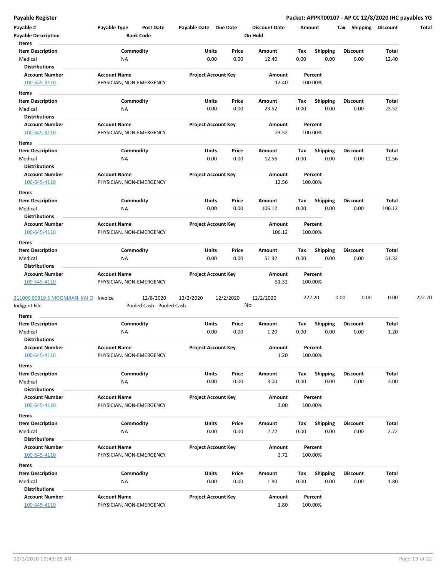| Payable #<br><b>Payable Description</b> | Payable Type             | <b>Post Date</b><br><b>Bank Code</b> | Payable Date Due Date |                            | <b>Discount Date</b><br>On Hold |      | Amount          | Shipping<br>Tax | <b>Discount</b> | Total  |
|-----------------------------------------|--------------------------|--------------------------------------|-----------------------|----------------------------|---------------------------------|------|-----------------|-----------------|-----------------|--------|
| Items                                   |                          |                                      |                       |                            |                                 |      |                 |                 |                 |        |
| <b>Item Description</b>                 |                          | Commodity                            | Units                 | Price                      | Amount                          | Tax  | <b>Shipping</b> | <b>Discount</b> | Total           |        |
| Medical                                 | ΝA                       |                                      |                       | 0.00<br>0.00               | 12.40                           | 0.00 | 0.00            | 0.00            | 12.40           |        |
| <b>Distributions</b>                    |                          |                                      |                       |                            |                                 |      |                 |                 |                 |        |
| <b>Account Number</b>                   | <b>Account Name</b>      |                                      |                       | <b>Project Account Key</b> | Amount                          |      | Percent         |                 |                 |        |
| 100-645-4110                            | PHYSICIAN, NON-EMERGENCY |                                      |                       |                            | 12.40                           |      | 100.00%         |                 |                 |        |
| Items                                   |                          |                                      |                       |                            |                                 |      |                 |                 |                 |        |
| <b>Item Description</b>                 |                          | Commodity                            | Units                 | Price                      | Amount                          | Tax  | <b>Shipping</b> | <b>Discount</b> | Total           |        |
| Medical                                 | NA                       |                                      |                       | 0.00<br>0.00               | 23.52                           | 0.00 | 0.00            | 0.00            | 23.52           |        |
| <b>Distributions</b>                    |                          |                                      |                       |                            |                                 |      |                 |                 |                 |        |
| <b>Account Number</b>                   | <b>Account Name</b>      |                                      |                       | <b>Project Account Key</b> | Amount                          |      | Percent         |                 |                 |        |
| 100-645-4110                            | PHYSICIAN, NON-EMERGENCY |                                      |                       |                            | 23.52                           |      | 100.00%         |                 |                 |        |
| Items                                   |                          |                                      |                       |                            |                                 |      |                 |                 |                 |        |
| Item Description                        |                          | Commodity                            | Units                 | Price                      | Amount                          | Tax  | <b>Shipping</b> | <b>Discount</b> | Total           |        |
| Medical                                 | <b>NA</b>                |                                      |                       | 0.00<br>0.00               | 12.56                           | 0.00 | 0.00            | 0.00            | 12.56           |        |
| <b>Distributions</b>                    |                          |                                      |                       |                            |                                 |      |                 |                 |                 |        |
| <b>Account Number</b>                   | <b>Account Name</b>      |                                      |                       | <b>Project Account Key</b> | Amount                          |      | Percent         |                 |                 |        |
| 100-645-4110                            | PHYSICIAN, NON-EMERGENCY |                                      |                       |                            | 12.56                           |      | 100.00%         |                 |                 |        |
| Items                                   |                          |                                      |                       |                            |                                 |      |                 |                 |                 |        |
| <b>Item Description</b>                 |                          | Commodity                            | Units                 | Price                      | Amount                          | Tax  | <b>Shipping</b> | <b>Discount</b> | Total           |        |
| Medical                                 | ΝA                       |                                      |                       | 0.00<br>0.00               | 106.12                          | 0.00 | 0.00            | 0.00            | 106.12          |        |
| <b>Distributions</b>                    |                          |                                      |                       |                            |                                 |      |                 |                 |                 |        |
| <b>Account Number</b>                   | <b>Account Name</b>      |                                      |                       | <b>Project Account Key</b> | Amount                          |      | Percent         |                 |                 |        |
| 100-645-4110                            | PHYSICIAN, NON-EMERGENCY |                                      |                       |                            | 106.12                          |      | 100.00%         |                 |                 |        |
| Items                                   |                          |                                      |                       |                            |                                 |      |                 |                 |                 |        |
| <b>Item Description</b>                 |                          | Commodity                            | Units                 | Price                      | Amount                          | Tax  | <b>Shipping</b> | Discount        | Total           |        |
| Medical                                 | NA                       |                                      |                       | 0.00<br>0.00               | 51.32                           | 0.00 | 0.00            | 0.00            | 51.32           |        |
| <b>Distributions</b>                    |                          |                                      |                       |                            |                                 |      |                 |                 |                 |        |
| <b>Account Number</b>                   | <b>Account Name</b>      |                                      |                       | <b>Project Account Key</b> | Amount                          |      | Percent         |                 |                 |        |
| 100-645-4110                            | PHYSICIAN, NON-EMERGENCY |                                      |                       |                            | 51.32                           |      | 100.00%         |                 |                 |        |
| 211006 00819 5 MOOMJIAN, KAI O Invoice  |                          | 12/8/2020                            | 12/2/2020             | 12/2/2020                  | 12/2/2020                       |      | 222.20          | 0.00<br>0.00    | 0.00            | 222.20 |
| Indigent File                           |                          | Pooled Cash - Pooled Cash            |                       |                            | No                              |      |                 |                 |                 |        |
| Items                                   |                          |                                      |                       |                            |                                 |      |                 |                 |                 |        |
| <b>Item Description</b>                 |                          | Commodity                            | Units                 | Price                      | Amount                          | Tax  | <b>Shipping</b> | <b>Discount</b> | Total           |        |
| Medical                                 | NA                       |                                      |                       | 0.00<br>0.00               | 1.20                            | 0.00 | 0.00            | 0.00            | 1.20            |        |
| <b>Distributions</b>                    |                          |                                      |                       |                            |                                 |      |                 |                 |                 |        |
| <b>Account Number</b>                   | <b>Account Name</b>      |                                      |                       | <b>Project Account Key</b> | Amount                          |      | Percent         |                 |                 |        |
| 100-645-4110                            | PHYSICIAN, NON-EMERGENCY |                                      |                       |                            | 1.20                            |      | 100.00%         |                 |                 |        |
| Items                                   |                          |                                      |                       |                            |                                 |      |                 |                 |                 |        |
| <b>Item Description</b>                 |                          | Commodity                            | Units                 | Price                      | Amount                          | Tax  | Shipping        | <b>Discount</b> | Total           |        |
| Medical                                 | NA                       |                                      |                       | 0.00<br>0.00               | 3.00                            | 0.00 | 0.00            | 0.00            | 3.00            |        |
| <b>Distributions</b>                    |                          |                                      |                       |                            |                                 |      |                 |                 |                 |        |
| <b>Account Number</b>                   | <b>Account Name</b>      |                                      |                       | <b>Project Account Key</b> | Amount                          |      | Percent         |                 |                 |        |
| 100-645-4110                            | PHYSICIAN, NON-EMERGENCY |                                      |                       |                            | 3.00                            |      | 100.00%         |                 |                 |        |
| Items                                   |                          |                                      |                       |                            |                                 |      |                 |                 |                 |        |
| <b>Item Description</b>                 |                          | Commodity                            | Units                 | Price                      | Amount                          | Tax  | <b>Shipping</b> | <b>Discount</b> | Total           |        |
| Medical                                 | <b>NA</b>                |                                      |                       | 0.00<br>0.00               | 2.72                            | 0.00 | 0.00            | 0.00            | 2.72            |        |
| <b>Distributions</b>                    |                          |                                      |                       |                            |                                 |      |                 |                 |                 |        |
| <b>Account Number</b>                   | <b>Account Name</b>      |                                      |                       | <b>Project Account Key</b> | Amount                          |      | Percent         |                 |                 |        |
| 100-645-4110                            | PHYSICIAN, NON-EMERGENCY |                                      |                       |                            | 2.72                            |      | 100.00%         |                 |                 |        |
| Items                                   |                          |                                      |                       |                            |                                 |      |                 |                 |                 |        |
| <b>Item Description</b>                 |                          | Commodity                            | Units                 | Price                      | Amount                          | Tax  | <b>Shipping</b> | <b>Discount</b> | Total           |        |
| Medical                                 | NA                       |                                      |                       | 0.00<br>0.00               | 1.80                            | 0.00 | 0.00            | 0.00            | 1.80            |        |
| <b>Distributions</b>                    |                          |                                      |                       |                            |                                 |      |                 |                 |                 |        |
| <b>Account Number</b>                   | <b>Account Name</b>      |                                      |                       | <b>Project Account Key</b> | Amount                          |      | Percent         |                 |                 |        |
| 100-645-4110                            | PHYSICIAN, NON-EMERGENCY |                                      |                       |                            | 1.80                            |      | 100.00%         |                 |                 |        |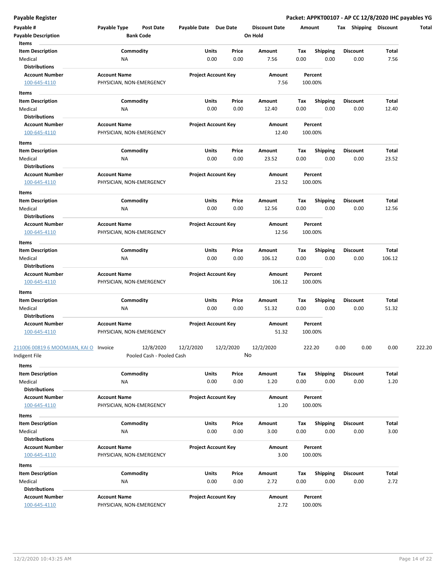| Payable #                           | Payable Type             | Post Date                 | Payable Date Due Date |                            |      | <b>Discount Date</b> | Amount |                 | Shipping<br>Tax | <b>Discount</b> | Total  |
|-------------------------------------|--------------------------|---------------------------|-----------------------|----------------------------|------|----------------------|--------|-----------------|-----------------|-----------------|--------|
| <b>Payable Description</b><br>Items |                          | <b>Bank Code</b>          |                       |                            |      | On Hold              |        |                 |                 |                 |        |
| <b>Item Description</b>             |                          | Commodity                 | <b>Units</b>          | Price                      |      | Amount               | Tax    | <b>Shipping</b> | <b>Discount</b> | Total           |        |
| Medical                             | ΝA                       |                           |                       | 0.00                       | 0.00 | 7.56                 | 0.00   | 0.00            | 0.00            | 7.56            |        |
| <b>Distributions</b>                |                          |                           |                       |                            |      |                      |        |                 |                 |                 |        |
| <b>Account Number</b>               | <b>Account Name</b>      |                           |                       | <b>Project Account Key</b> |      | Amount               |        | Percent         |                 |                 |        |
| 100-645-4110                        | PHYSICIAN, NON-EMERGENCY |                           |                       |                            |      | 7.56                 |        | 100.00%         |                 |                 |        |
|                                     |                          |                           |                       |                            |      |                      |        |                 |                 |                 |        |
| Items                               |                          |                           |                       |                            |      |                      |        |                 |                 |                 |        |
| <b>Item Description</b>             |                          | Commodity                 | Units                 | Price                      |      | Amount               | Tax    | <b>Shipping</b> | <b>Discount</b> | Total           |        |
| Medical                             | <b>NA</b>                |                           |                       | 0.00                       | 0.00 | 12.40                | 0.00   | 0.00            | 0.00            | 12.40           |        |
| Distributions                       |                          |                           |                       |                            |      |                      |        |                 |                 |                 |        |
| <b>Account Number</b>               | <b>Account Name</b>      |                           |                       | <b>Project Account Key</b> |      | Amount               |        | Percent         |                 |                 |        |
| 100-645-4110                        | PHYSICIAN, NON-EMERGENCY |                           |                       |                            |      | 12.40                |        | 100.00%         |                 |                 |        |
| Items                               |                          |                           |                       |                            |      |                      |        |                 |                 |                 |        |
| <b>Item Description</b>             |                          | Commodity                 | Units                 | Price                      |      | Amount               | Tax    | <b>Shipping</b> | Discount        | Total           |        |
| Medical                             | <b>NA</b>                |                           |                       | 0.00                       | 0.00 | 23.52                | 0.00   | 0.00            | 0.00            | 23.52           |        |
| <b>Distributions</b>                |                          |                           |                       |                            |      |                      |        |                 |                 |                 |        |
| <b>Account Number</b>               | <b>Account Name</b>      |                           |                       | <b>Project Account Key</b> |      | Amount               |        | Percent         |                 |                 |        |
| 100-645-4110                        | PHYSICIAN, NON-EMERGENCY |                           |                       |                            |      | 23.52                |        | 100.00%         |                 |                 |        |
| Items                               |                          |                           |                       |                            |      |                      |        |                 |                 |                 |        |
| <b>Item Description</b>             |                          | Commodity                 | Units                 | Price                      |      | Amount               | Tax    | <b>Shipping</b> | <b>Discount</b> | Total           |        |
| Medical                             | ΝA                       |                           |                       | 0.00                       | 0.00 | 12.56                | 0.00   | 0.00            | 0.00            | 12.56           |        |
| <b>Distributions</b>                |                          |                           |                       |                            |      |                      |        |                 |                 |                 |        |
| <b>Account Number</b>               | <b>Account Name</b>      |                           |                       | <b>Project Account Key</b> |      | Amount               |        | Percent         |                 |                 |        |
| 100-645-4110                        | PHYSICIAN, NON-EMERGENCY |                           |                       |                            |      | 12.56                |        | 100.00%         |                 |                 |        |
| Items                               |                          |                           |                       |                            |      |                      |        |                 |                 |                 |        |
| <b>Item Description</b>             |                          | Commodity                 | Units                 | Price                      |      | Amount               | Тах    | <b>Shipping</b> | <b>Discount</b> | Total           |        |
| Medical                             | <b>NA</b>                |                           |                       | 0.00                       | 0.00 | 106.12               | 0.00   | 0.00            | 0.00            | 106.12          |        |
| <b>Distributions</b>                |                          |                           |                       |                            |      |                      |        |                 |                 |                 |        |
| <b>Account Number</b>               | <b>Account Name</b>      |                           |                       | <b>Project Account Key</b> |      | Amount               |        | Percent         |                 |                 |        |
| 100-645-4110                        | PHYSICIAN, NON-EMERGENCY |                           |                       |                            |      | 106.12               |        | 100.00%         |                 |                 |        |
|                                     |                          |                           |                       |                            |      |                      |        |                 |                 |                 |        |
| Items<br><b>Item Description</b>    |                          | Commodity                 | <b>Units</b>          | Price                      |      | Amount               | Тах    | <b>Shipping</b> | <b>Discount</b> | Total           |        |
| Medical                             | ΝA                       |                           |                       | 0.00                       | 0.00 | 51.32                | 0.00   | 0.00            | 0.00            | 51.32           |        |
| <b>Distributions</b>                |                          |                           |                       |                            |      |                      |        |                 |                 |                 |        |
| <b>Account Number</b>               | <b>Account Name</b>      |                           |                       | <b>Project Account Key</b> |      | Amount               |        | Percent         |                 |                 |        |
| 100-645-4110                        | PHYSICIAN, NON-EMERGENCY |                           |                       |                            |      | 51.32                |        | 100.00%         |                 |                 |        |
|                                     |                          |                           |                       |                            |      |                      |        |                 |                 |                 |        |
| 211006 00819 6 MOOMJIAN, KAI O      | Invoice                  | 12/8/2020                 | 12/2/2020             | 12/2/2020                  |      | 12/2/2020            |        | 222.20          | 0.00            | 0.00<br>0.00    | 222.20 |
| ndigent File                        |                          | Pooled Cash - Pooled Cash |                       |                            | No   |                      |        |                 |                 |                 |        |
| Items                               |                          |                           |                       |                            |      |                      |        |                 |                 |                 |        |
| <b>Item Description</b>             |                          | Commodity                 | Units                 | Price                      |      | Amount               | Tax    | Shipping        | <b>Discount</b> | Total           |        |
| Medical                             | <b>NA</b>                |                           |                       | 0.00                       | 0.00 | 1.20                 | 0.00   | 0.00            | 0.00            | 1.20            |        |
| <b>Distributions</b>                |                          |                           |                       |                            |      |                      |        |                 |                 |                 |        |
| <b>Account Number</b>               | <b>Account Name</b>      |                           |                       | <b>Project Account Key</b> |      | Amount               |        | Percent         |                 |                 |        |
| 100-645-4110                        | PHYSICIAN, NON-EMERGENCY |                           |                       |                            |      | 1.20                 |        | 100.00%         |                 |                 |        |
|                                     |                          |                           |                       |                            |      |                      |        |                 |                 |                 |        |
| Items                               |                          |                           |                       |                            |      |                      |        |                 |                 |                 |        |
| <b>Item Description</b>             |                          | Commodity                 | Units                 | Price                      |      | Amount               | Tax    | <b>Shipping</b> | <b>Discount</b> | Total           |        |
| Medical                             | <b>NA</b>                |                           |                       | 0.00                       | 0.00 | 3.00                 | 0.00   | 0.00            | 0.00            | 3.00            |        |
| <b>Distributions</b>                |                          |                           |                       |                            |      |                      |        |                 |                 |                 |        |
| <b>Account Number</b>               | <b>Account Name</b>      |                           |                       | <b>Project Account Key</b> |      | Amount               |        | Percent         |                 |                 |        |
| 100-645-4110                        | PHYSICIAN, NON-EMERGENCY |                           |                       |                            |      | 3.00                 |        | 100.00%         |                 |                 |        |
| Items                               |                          |                           |                       |                            |      |                      |        |                 |                 |                 |        |
| <b>Item Description</b>             |                          | Commodity                 | Units                 | Price                      |      | Amount               | Тах    | <b>Shipping</b> | <b>Discount</b> | Total           |        |
| Medical                             | NA                       |                           |                       | 0.00                       | 0.00 | 2.72                 | 0.00   | 0.00            | 0.00            | 2.72            |        |
| <b>Distributions</b>                |                          |                           |                       |                            |      |                      |        |                 |                 |                 |        |
| <b>Account Number</b>               | <b>Account Name</b>      |                           |                       | <b>Project Account Key</b> |      | Amount               |        | Percent         |                 |                 |        |
| 100-645-4110                        | PHYSICIAN, NON-EMERGENCY |                           |                       |                            |      | 2.72                 |        | 100.00%         |                 |                 |        |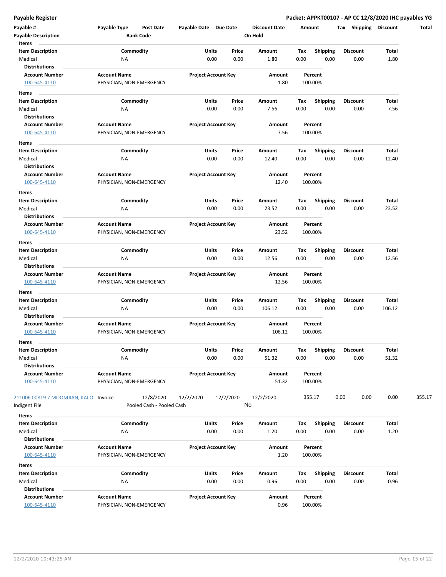| Payable #                              | Payable Type                                    | <b>Post Date</b>          | Payable Date Due Date |                            | <b>Discount Date</b> |      | Amount             | <b>Shipping</b><br>Tax | <b>Discount</b> | Total  |
|----------------------------------------|-------------------------------------------------|---------------------------|-----------------------|----------------------------|----------------------|------|--------------------|------------------------|-----------------|--------|
| <b>Payable Description</b>             |                                                 | <b>Bank Code</b>          |                       |                            | On Hold              |      |                    |                        |                 |        |
| Items                                  |                                                 |                           |                       |                            |                      |      |                    |                        |                 |        |
| <b>Item Description</b>                |                                                 | Commodity                 |                       | Units<br>Price             | Amount               | Tax  | <b>Shipping</b>    | <b>Discount</b>        | Total           |        |
| Medical                                | ΝA                                              |                           |                       | 0.00<br>0.00               | 1.80                 | 0.00 | 0.00               | 0.00                   | 1.80            |        |
| <b>Distributions</b>                   |                                                 |                           |                       |                            |                      |      |                    |                        |                 |        |
| <b>Account Number</b>                  | <b>Account Name</b><br>PHYSICIAN, NON-EMERGENCY |                           |                       | <b>Project Account Key</b> | Amount<br>1.80       |      | Percent<br>100.00% |                        |                 |        |
| 100-645-4110                           |                                                 |                           |                       |                            |                      |      |                    |                        |                 |        |
| Items                                  |                                                 |                           |                       |                            |                      |      |                    |                        |                 |        |
| <b>Item Description</b>                |                                                 | Commodity                 |                       | Units<br>Price             | Amount               | Tax  | <b>Shipping</b>    | <b>Discount</b>        | Total           |        |
| Medical                                | <b>NA</b>                                       |                           |                       | 0.00<br>0.00               | 7.56                 | 0.00 | 0.00               | 0.00                   | 7.56            |        |
| <b>Distributions</b>                   |                                                 |                           |                       |                            |                      |      |                    |                        |                 |        |
| <b>Account Number</b>                  | <b>Account Name</b>                             |                           |                       | <b>Project Account Key</b> | Amount               |      | Percent            |                        |                 |        |
| 100-645-4110                           | PHYSICIAN, NON-EMERGENCY                        |                           |                       |                            | 7.56                 |      | 100.00%            |                        |                 |        |
| Items                                  |                                                 |                           |                       |                            |                      |      |                    |                        |                 |        |
| Item Description                       |                                                 | Commodity                 |                       | Units<br>Price             | Amount               | Tax  | <b>Shipping</b>    | <b>Discount</b>        | Total           |        |
| Medical                                | <b>NA</b>                                       |                           |                       | 0.00<br>0.00               | 12.40                | 0.00 | 0.00               | 0.00                   | 12.40           |        |
| <b>Distributions</b>                   |                                                 |                           |                       |                            |                      |      |                    |                        |                 |        |
| <b>Account Number</b>                  | <b>Account Name</b>                             |                           |                       | <b>Project Account Key</b> | Amount               |      | Percent            |                        |                 |        |
| 100-645-4110                           | PHYSICIAN, NON-EMERGENCY                        |                           |                       |                            | 12.40                |      | 100.00%            |                        |                 |        |
| Items                                  |                                                 |                           |                       |                            |                      |      |                    |                        |                 |        |
| <b>Item Description</b>                |                                                 | Commodity                 |                       | Units<br>Price             | Amount               | Tax  | <b>Shipping</b>    | <b>Discount</b>        | Total           |        |
| Medical                                | ΝA                                              |                           |                       | 0.00<br>0.00               | 23.52                | 0.00 | 0.00               | 0.00                   | 23.52           |        |
| <b>Distributions</b>                   |                                                 |                           |                       |                            |                      |      |                    |                        |                 |        |
| <b>Account Number</b>                  | <b>Account Name</b>                             |                           |                       | <b>Project Account Key</b> | Amount               |      | Percent            |                        |                 |        |
| 100-645-4110                           | PHYSICIAN, NON-EMERGENCY                        |                           |                       |                            | 23.52                |      | 100.00%            |                        |                 |        |
| Items                                  |                                                 |                           |                       |                            |                      |      |                    |                        |                 |        |
| <b>Item Description</b>                |                                                 | Commodity                 |                       | Units<br>Price             | Amount               | Тах  | <b>Shipping</b>    | Discount               | Total           |        |
| Medical                                | <b>NA</b>                                       |                           |                       | 0.00<br>0.00               | 12.56                | 0.00 | 0.00               | 0.00                   | 12.56           |        |
| <b>Distributions</b>                   |                                                 |                           |                       |                            |                      |      |                    |                        |                 |        |
| <b>Account Number</b>                  | <b>Account Name</b>                             |                           |                       | <b>Project Account Key</b> | Amount               |      | Percent            |                        |                 |        |
| 100-645-4110                           | PHYSICIAN, NON-EMERGENCY                        |                           |                       |                            | 12.56                |      | 100.00%            |                        |                 |        |
| Items                                  |                                                 |                           |                       |                            |                      |      |                    |                        |                 |        |
| <b>Item Description</b>                |                                                 | Commodity                 |                       | Units<br>Price             | Amount               | Tax  | <b>Shipping</b>    | Discount               | Total           |        |
| Medical                                | ΝA                                              |                           |                       | 0.00<br>0.00               | 106.12               | 0.00 | 0.00               | 0.00                   | 106.12          |        |
| <b>Distributions</b>                   |                                                 |                           |                       |                            |                      |      |                    |                        |                 |        |
| <b>Account Number</b>                  | <b>Account Name</b>                             |                           |                       | <b>Project Account Key</b> | Amount               |      | Percent            |                        |                 |        |
| 100-645-4110                           | PHYSICIAN, NON-EMERGENCY                        |                           |                       |                            | 106.12               |      | 100.00%            |                        |                 |        |
| Items                                  |                                                 |                           |                       |                            |                      |      |                    |                        |                 |        |
| <b>Item Description</b>                |                                                 | Commodity                 |                       | <b>Units</b><br>Price      | Amount               | Тах  | Shipping           | <b>Discount</b>        | Total           |        |
| Medical                                | ΝA                                              |                           |                       | 0.00<br>0.00               | 51.32                | 0.00 | 0.00               | 0.00                   | 51.32           |        |
| <b>Distributions</b>                   |                                                 |                           |                       |                            |                      |      |                    |                        |                 |        |
| <b>Account Number</b>                  | <b>Account Name</b>                             |                           |                       | <b>Project Account Key</b> | Amount               |      | Percent            |                        |                 |        |
| 100-645-4110                           | PHYSICIAN, NON-EMERGENCY                        |                           |                       |                            | 51.32                |      | 100.00%            |                        |                 |        |
|                                        |                                                 |                           |                       |                            |                      |      |                    |                        |                 |        |
| 211006 00819 7 MOOMJIAN, KAI O Invoice |                                                 | 12/8/2020                 | 12/2/2020             | 12/2/2020                  | 12/2/2020            |      | 355.17             | 0.00<br>0.00           | 0.00            | 355.17 |
| Indigent File                          |                                                 | Pooled Cash - Pooled Cash |                       |                            | No                   |      |                    |                        |                 |        |
| Items                                  |                                                 |                           |                       |                            |                      |      |                    |                        |                 |        |
| <b>Item Description</b>                |                                                 | Commodity                 |                       | Units<br>Price             | Amount               | Tax  | <b>Shipping</b>    | <b>Discount</b>        | Total           |        |
| Medical                                | ΝA                                              |                           |                       | 0.00<br>0.00               | 1.20                 | 0.00 | 0.00               | 0.00                   | 1.20            |        |
| <b>Distributions</b>                   |                                                 |                           |                       |                            |                      |      |                    |                        |                 |        |
| <b>Account Number</b>                  | <b>Account Name</b>                             |                           |                       | <b>Project Account Key</b> | Amount               |      | Percent            |                        |                 |        |
| 100-645-4110                           | PHYSICIAN, NON-EMERGENCY                        |                           |                       |                            | 1.20                 |      | 100.00%            |                        |                 |        |
| Items                                  |                                                 |                           |                       |                            |                      |      |                    |                        |                 |        |
| <b>Item Description</b>                |                                                 | Commodity                 |                       | Units<br>Price             | Amount               | Тах  | <b>Shipping</b>    | <b>Discount</b>        | Total           |        |
| Medical                                | NA                                              |                           |                       | 0.00<br>0.00               | 0.96                 | 0.00 | 0.00               | 0.00                   | 0.96            |        |
| <b>Distributions</b>                   |                                                 |                           |                       |                            |                      |      |                    |                        |                 |        |
| <b>Account Number</b>                  | <b>Account Name</b>                             |                           |                       | <b>Project Account Key</b> | Amount               |      | Percent            |                        |                 |        |
| 100-645-4110                           | PHYSICIAN, NON-EMERGENCY                        |                           |                       |                            | 0.96                 |      | 100.00%            |                        |                 |        |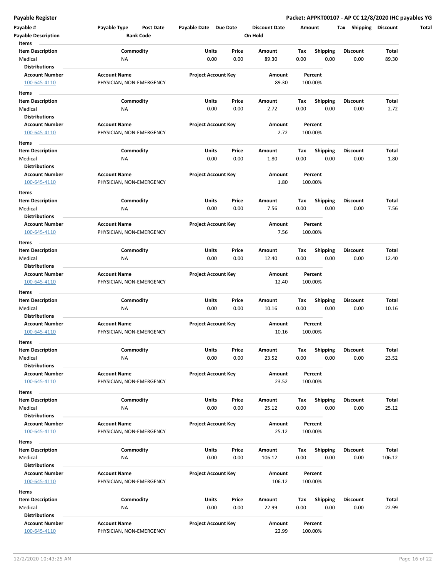|                                                                                 | Payable Type<br>Post Date | Payable Date Due Date      |       | <b>Discount Date</b> | Amount |                 | Shipping<br>Tax | <b>Discount</b> |
|---------------------------------------------------------------------------------|---------------------------|----------------------------|-------|----------------------|--------|-----------------|-----------------|-----------------|
| <b>Payable Description</b>                                                      | <b>Bank Code</b>          |                            |       | On Hold              |        |                 |                 |                 |
| Items                                                                           |                           |                            |       |                      |        |                 |                 |                 |
| <b>Item Description</b>                                                         | Commodity                 | Units                      | Price | Amount               | Tax    | <b>Shipping</b> | <b>Discount</b> | Total           |
| Medical                                                                         | <b>NA</b>                 | 0.00                       | 0.00  | 89.30                | 0.00   | 0.00            | 0.00            | 89.30           |
| <b>Distributions</b>                                                            |                           |                            |       |                      |        |                 |                 |                 |
| <b>Account Number</b>                                                           | <b>Account Name</b>       | <b>Project Account Key</b> |       | Amount               |        | Percent         |                 |                 |
| 100-645-4110                                                                    | PHYSICIAN, NON-EMERGENCY  |                            |       | 89.30                |        | 100.00%         |                 |                 |
| Items                                                                           |                           |                            |       |                      |        |                 |                 |                 |
| <b>Item Description</b>                                                         | Commodity                 | Units                      | Price | Amount               | Тах    | <b>Shipping</b> | <b>Discount</b> | Total           |
| Medical                                                                         | NA                        | 0.00                       | 0.00  | 2.72                 | 0.00   | 0.00            | 0.00            | 2.72            |
| <b>Distributions</b>                                                            |                           |                            |       |                      |        |                 |                 |                 |
| <b>Account Number</b>                                                           | <b>Account Name</b>       | <b>Project Account Key</b> |       | Amount               |        | Percent         |                 |                 |
| 100-645-4110                                                                    | PHYSICIAN, NON-EMERGENCY  |                            |       | 2.72                 |        | 100.00%         |                 |                 |
| Items                                                                           |                           |                            |       |                      |        |                 |                 |                 |
| <b>Item Description</b>                                                         | Commodity                 | Units                      | Price | Amount               | Tax    | <b>Shipping</b> | <b>Discount</b> | Total           |
| Medical                                                                         | <b>NA</b>                 | 0.00                       | 0.00  | 1.80                 | 0.00   | 0.00            | 0.00            | 1.80            |
| <b>Distributions</b>                                                            |                           |                            |       |                      |        |                 |                 |                 |
|                                                                                 |                           |                            |       |                      |        |                 |                 |                 |
| <b>Account Number</b>                                                           | <b>Account Name</b>       | <b>Project Account Key</b> |       | Amount               |        | Percent         |                 |                 |
| 100-645-4110                                                                    | PHYSICIAN, NON-EMERGENCY  |                            |       | 1.80                 |        | 100.00%         |                 |                 |
| Items                                                                           |                           |                            |       |                      |        |                 |                 |                 |
| <b>Item Description</b>                                                         | Commodity                 | Units                      | Price | Amount               | Tax    | <b>Shipping</b> | <b>Discount</b> | Total           |
| Medical                                                                         | <b>NA</b>                 | 0.00                       | 0.00  | 7.56                 | 0.00   | 0.00            | 0.00            | 7.56            |
| <b>Distributions</b>                                                            |                           |                            |       |                      |        |                 |                 |                 |
| <b>Account Number</b>                                                           | <b>Account Name</b>       | <b>Project Account Key</b> |       | Amount               |        | Percent         |                 |                 |
| 100-645-4110                                                                    | PHYSICIAN, NON-EMERGENCY  |                            |       | 7.56                 |        | 100.00%         |                 |                 |
| Items                                                                           |                           |                            |       |                      |        |                 |                 |                 |
| <b>Item Description</b>                                                         | Commodity                 | Units                      | Price | Amount               | Тах    | <b>Shipping</b> | Discount        | Total           |
| Medical                                                                         | <b>NA</b>                 | 0.00                       | 0.00  | 12.40                | 0.00   | 0.00            | 0.00            | 12.40           |
| <b>Distributions</b>                                                            |                           |                            |       |                      |        |                 |                 |                 |
| <b>Account Number</b>                                                           | <b>Account Name</b>       | <b>Project Account Key</b> |       | Amount               |        | Percent         |                 |                 |
| 100-645-4110                                                                    | PHYSICIAN, NON-EMERGENCY  |                            |       | 12.40                |        | 100.00%         |                 |                 |
|                                                                                 |                           |                            |       |                      |        |                 |                 |                 |
| Items                                                                           |                           |                            |       |                      |        |                 |                 |                 |
| <b>Item Description</b>                                                         | Commodity                 | Units                      | Price | Amount               | Tax    | <b>Shipping</b> | <b>Discount</b> | Total           |
| Medical                                                                         | <b>NA</b>                 | 0.00                       | 0.00  | 10.16                | 0.00   | 0.00            | 0.00            | 10.16           |
| <b>Distributions</b>                                                            |                           |                            |       |                      |        |                 |                 |                 |
| <b>Account Number</b>                                                           | <b>Account Name</b>       | <b>Project Account Key</b> |       | Amount               |        | Percent         |                 |                 |
| 100-645-4110                                                                    | PHYSICIAN, NON-EMERGENCY  |                            |       | 10.16                |        | 100.00%         |                 |                 |
| Items                                                                           |                           |                            |       |                      |        |                 |                 |                 |
| <b>Item Description</b>                                                         | Commodity                 | Units                      | Price | Amount               | Tax    | Shipping        | <b>Discount</b> | Total           |
| Medical                                                                         | ΝA                        | 0.00                       | 0.00  | 23.52                | 0.00   | 0.00            | 0.00            | 23.52           |
| <b>Distributions</b>                                                            |                           |                            |       |                      |        |                 |                 |                 |
| <b>Account Number</b>                                                           | <b>Account Name</b>       | <b>Project Account Key</b> |       | Amount               |        | Percent         |                 |                 |
| 100-645-4110                                                                    | PHYSICIAN, NON-EMERGENCY  |                            |       | 23.52                |        | 100.00%         |                 |                 |
| Items                                                                           |                           |                            |       |                      |        |                 |                 |                 |
| <b>Item Description</b>                                                         | Commodity                 | Units                      | Price | Amount               | Tax    | <b>Shipping</b> | <b>Discount</b> | Total           |
| Medical                                                                         | NA                        | 0.00                       | 0.00  | 25.12                | 0.00   | 0.00            | 0.00            | 25.12           |
| <b>Distributions</b>                                                            |                           |                            |       |                      |        |                 |                 |                 |
| <b>Account Number</b>                                                           | <b>Account Name</b>       | <b>Project Account Key</b> |       | Amount               |        | Percent         |                 |                 |
|                                                                                 | PHYSICIAN, NON-EMERGENCY  |                            |       | 25.12                |        | 100.00%         |                 |                 |
| 100-645-4110                                                                    |                           |                            |       |                      |        |                 |                 |                 |
|                                                                                 |                           |                            |       |                      |        |                 |                 |                 |
|                                                                                 |                           |                            | Price | Amount               | Tax    | <b>Shipping</b> | <b>Discount</b> | Total           |
|                                                                                 | Commodity                 | Units                      |       |                      |        |                 |                 |                 |
|                                                                                 | <b>NA</b>                 | 0.00                       | 0.00  | 106.12               | 0.00   | 0.00            | 0.00            | 106.12          |
| <b>Distributions</b>                                                            |                           |                            |       |                      |        |                 |                 |                 |
| <b>Account Number</b>                                                           | <b>Account Name</b>       | <b>Project Account Key</b> |       | Amount               |        | Percent         |                 |                 |
| 100-645-4110                                                                    | PHYSICIAN, NON-EMERGENCY  |                            |       | 106.12               |        | 100.00%         |                 |                 |
|                                                                                 |                           |                            |       |                      |        |                 |                 |                 |
| Items<br><b>Item Description</b><br>Medical<br>Items<br><b>Item Description</b> | Commodity                 | Units                      | Price | Amount               | Тах    | <b>Shipping</b> | Discount        | Total           |
|                                                                                 | <b>NA</b>                 | 0.00                       | 0.00  | 22.99                | 0.00   | 0.00            | 0.00            | 22.99           |
| Medical<br><b>Distributions</b>                                                 |                           |                            |       |                      |        |                 |                 |                 |
| <b>Account Number</b>                                                           | <b>Account Name</b>       | <b>Project Account Key</b> |       | Amount               |        | Percent         |                 |                 |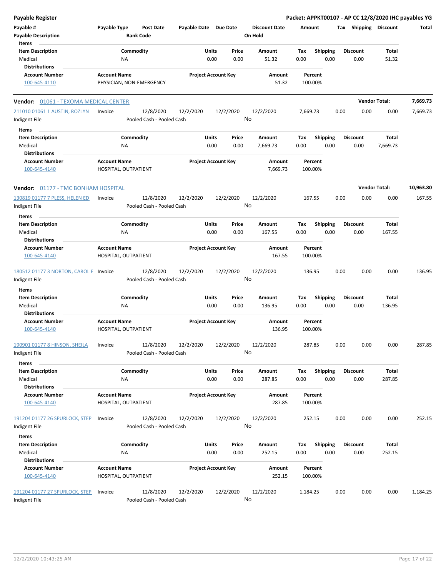| <b>Payable Register</b>                                             |                                                 |                                        |                            |               |               |                                 |             |                         |      |                         |                      | Packet: APPKT00107 - AP CC 12/8/2020 IHC payables YG |
|---------------------------------------------------------------------|-------------------------------------------------|----------------------------------------|----------------------------|---------------|---------------|---------------------------------|-------------|-------------------------|------|-------------------------|----------------------|------------------------------------------------------|
| Payable #<br><b>Payable Description</b>                             | Payable Type                                    | <b>Post Date</b><br><b>Bank Code</b>   | Payable Date Due Date      |               |               | <b>Discount Date</b><br>On Hold | Amount      |                         |      | Tax Shipping Discount   |                      | Total                                                |
| Items<br><b>Item Description</b><br>Medical<br><b>Distributions</b> | Commodity<br>NA                                 |                                        |                            | Units<br>0.00 | Price<br>0.00 | <b>Amount</b><br>51.32          | Tax<br>0.00 | <b>Shipping</b><br>0.00 |      | <b>Discount</b><br>0.00 | Total<br>51.32       |                                                      |
| <b>Account Number</b><br>100-645-4110                               | <b>Account Name</b><br>PHYSICIAN, NON-EMERGENCY |                                        | <b>Project Account Key</b> |               |               | Amount<br>51.32                 | 100.00%     | Percent                 |      |                         |                      |                                                      |
| <b>Vendor: 01061 - TEXOMA MEDICAL CENTER</b>                        |                                                 |                                        |                            |               |               |                                 |             |                         |      |                         | <b>Vendor Total:</b> | 7,669.73                                             |
| 211010 01061 1 AUSTIN, ROZLYN<br>Indigent File                      | Invoice                                         | 12/8/2020<br>Pooled Cash - Pooled Cash | 12/2/2020                  | 12/2/2020     | No            | 12/2/2020                       | 7,669.73    |                         | 0.00 | 0.00                    | 0.00                 | 7,669.73                                             |
| Items                                                               |                                                 |                                        |                            |               |               |                                 |             |                         |      |                         |                      |                                                      |
| <b>Item Description</b><br>Medical<br><b>Distributions</b>          | Commodity<br><b>NA</b>                          |                                        |                            | Units<br>0.00 | Price<br>0.00 | Amount<br>7,669.73              | Tax<br>0.00 | <b>Shipping</b><br>0.00 |      | <b>Discount</b><br>0.00 | Total<br>7,669.73    |                                                      |
| <b>Account Number</b><br>100-645-4140                               | <b>Account Name</b><br>HOSPITAL, OUTPATIENT     |                                        | <b>Project Account Key</b> |               |               | Amount<br>7,669.73              | 100.00%     | Percent                 |      |                         |                      |                                                      |
| <b>Vendor: 01177 - TMC BONHAM HOSPITAL</b>                          |                                                 |                                        |                            |               |               |                                 |             |                         |      |                         | <b>Vendor Total:</b> | 10,963.80                                            |
| 130819 01177 7 PLESS, HELEN ED<br>Indigent File                     | Invoice                                         | 12/8/2020<br>Pooled Cash - Pooled Cash | 12/2/2020                  | 12/2/2020     | No            | 12/2/2020                       | 167.55      |                         | 0.00 | 0.00                    | 0.00                 | 167.55                                               |
| Items                                                               |                                                 |                                        |                            |               |               |                                 |             |                         |      |                         |                      |                                                      |
| <b>Item Description</b><br>Medical<br><b>Distributions</b>          | Commodity<br>NA                                 |                                        |                            | Units<br>0.00 | Price<br>0.00 | Amount<br>167.55                | Tax<br>0.00 | <b>Shipping</b><br>0.00 |      | <b>Discount</b><br>0.00 | Total<br>167.55      |                                                      |
| <b>Account Number</b><br>100-645-4140                               | <b>Account Name</b><br>HOSPITAL, OUTPATIENT     |                                        | <b>Project Account Key</b> |               |               | Amount<br>167.55                | 100.00%     | Percent                 |      |                         |                      |                                                      |
| 180512 01177 3 NORTON, CAROL E<br>Indigent File                     | Invoice                                         | 12/8/2020<br>Pooled Cash - Pooled Cash | 12/2/2020                  | 12/2/2020     | No            | 12/2/2020                       | 136.95      |                         | 0.00 | 0.00                    | 0.00                 | 136.95                                               |
| Items                                                               |                                                 |                                        |                            |               |               |                                 |             |                         |      |                         |                      |                                                      |
| <b>Item Description</b><br>Medical                                  | Commodity<br><b>NA</b>                          |                                        |                            | Units<br>0.00 | Price<br>0.00 | Amount<br>136.95                | Tax<br>0.00 | <b>Shipping</b><br>0.00 |      | <b>Discount</b><br>0.00 | Total<br>136.95      |                                                      |
| <b>Distributions</b><br><b>Account Number</b><br>100-645-4140       | <b>Account Name</b><br>HOSPITAL, OUTPATIENT     |                                        | <b>Project Account Key</b> |               |               | Amount<br>136.95                | 100.00%     | Percent                 |      |                         |                      |                                                      |
| 190901 01177 8 HINSON, SHEILA<br>Indigent File                      | Invoice                                         | 12/8/2020<br>Pooled Cash - Pooled Cash | 12/2/2020                  | 12/2/2020     | No            | 12/2/2020                       | 287.85      |                         | 0.00 | 0.00                    | 0.00                 | 287.85                                               |
| Items                                                               |                                                 |                                        |                            |               |               |                                 |             |                         |      |                         |                      |                                                      |
| <b>Item Description</b><br>Medical                                  | Commodity<br>NA                                 |                                        |                            | Units<br>0.00 | Price<br>0.00 | Amount<br>287.85                | Tax<br>0.00 | <b>Shipping</b><br>0.00 |      | <b>Discount</b><br>0.00 | Total<br>287.85      |                                                      |
| <b>Distributions</b><br><b>Account Number</b><br>100-645-4140       | <b>Account Name</b><br>HOSPITAL, OUTPATIENT     |                                        | <b>Project Account Key</b> |               |               | Amount<br>287.85                | 100.00%     | Percent                 |      |                         |                      |                                                      |
| 191204 01177 26 SPURLOCK, STEP<br>Indigent File                     | Invoice                                         | 12/8/2020<br>Pooled Cash - Pooled Cash | 12/2/2020                  | 12/2/2020     | No            | 12/2/2020                       | 252.15      |                         | 0.00 | 0.00                    | 0.00                 | 252.15                                               |
| Items                                                               |                                                 |                                        |                            |               |               |                                 |             |                         |      |                         |                      |                                                      |
| <b>Item Description</b><br>Medical<br><b>Distributions</b>          | Commodity<br>NA                                 |                                        |                            | Units<br>0.00 | Price<br>0.00 | Amount<br>252.15                | Tax<br>0.00 | <b>Shipping</b><br>0.00 |      | <b>Discount</b><br>0.00 | Total<br>252.15      |                                                      |
| <b>Account Number</b><br>100-645-4140                               | <b>Account Name</b><br>HOSPITAL, OUTPATIENT     |                                        | <b>Project Account Key</b> |               |               | Amount<br>252.15                | 100.00%     | Percent                 |      |                         |                      |                                                      |
| 191204 01177 27 SPURLOCK, STEP<br>Indigent File                     | Invoice                                         | 12/8/2020<br>Pooled Cash - Pooled Cash | 12/2/2020                  | 12/2/2020     |               | 12/2/2020<br>No                 | 1,184.25    |                         | 0.00 | 0.00                    | 0.00                 | 1,184.25                                             |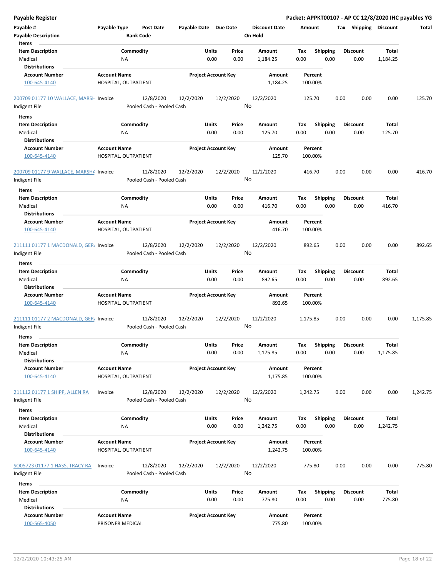| Payable Register                       |                      |                           |                       |                            |    |                      |             |                         |      |                       |                   | Packet: APPKT00107 - AP CC 12/8/2020 IHC payables YG |
|----------------------------------------|----------------------|---------------------------|-----------------------|----------------------------|----|----------------------|-------------|-------------------------|------|-----------------------|-------------------|------------------------------------------------------|
| Payable #                              | Payable Type         | <b>Post Date</b>          | Payable Date Due Date |                            |    | <b>Discount Date</b> | Amount      |                         |      | Tax Shipping Discount |                   | Total                                                |
| <b>Payable Description</b>             |                      | <b>Bank Code</b>          |                       |                            |    | On Hold              |             |                         |      |                       |                   |                                                      |
| Items                                  |                      |                           |                       |                            |    |                      |             |                         |      |                       |                   |                                                      |
| <b>Item Description</b>                |                      | Commodity                 |                       | Units<br>Price             |    | Amount               | Tax         | <b>Shipping</b>         |      | <b>Discount</b>       | <b>Total</b>      |                                                      |
| Medical                                | ΝA                   |                           |                       | 0.00<br>0.00               |    | 1,184.25             | 0.00        | 0.00                    |      | 0.00                  | 1,184.25          |                                                      |
| <b>Distributions</b>                   |                      |                           |                       |                            |    |                      |             |                         |      |                       |                   |                                                      |
| <b>Account Number</b>                  | <b>Account Name</b>  |                           |                       | <b>Project Account Key</b> |    | Amount               |             | Percent                 |      |                       |                   |                                                      |
| 100-645-4140                           | HOSPITAL, OUTPATIENT |                           |                       |                            |    | 1,184.25             | 100.00%     |                         |      |                       |                   |                                                      |
| 200709 01177 10 WALLACE, MARSH Invoice |                      | 12/8/2020                 | 12/2/2020             | 12/2/2020                  |    | 12/2/2020            | 125.70      |                         | 0.00 | 0.00                  | 0.00              | 125.70                                               |
| Indigent File                          |                      | Pooled Cash - Pooled Cash |                       |                            | No |                      |             |                         |      |                       |                   |                                                      |
|                                        |                      |                           |                       |                            |    |                      |             |                         |      |                       |                   |                                                      |
| Items                                  |                      |                           |                       |                            |    |                      |             |                         |      |                       |                   |                                                      |
| <b>Item Description</b>                |                      | Commodity                 |                       | Units<br>Price             |    | Amount               | Tax         | Shipping                |      | <b>Discount</b>       | Total             |                                                      |
| Medical                                | NA                   |                           |                       | 0.00<br>0.00               |    | 125.70               | 0.00        | 0.00                    |      | 0.00                  | 125.70            |                                                      |
| <b>Distributions</b>                   |                      |                           |                       |                            |    |                      |             |                         |      |                       |                   |                                                      |
| <b>Account Number</b>                  | <b>Account Name</b>  |                           |                       | <b>Project Account Key</b> |    | Amount               |             | Percent                 |      |                       |                   |                                                      |
| 100-645-4140                           | HOSPITAL, OUTPATIENT |                           |                       |                            |    | 125.70               | 100.00%     |                         |      |                       |                   |                                                      |
| 200709 01177 9 WALLACE, MARSHA Invoice |                      | 12/8/2020                 | 12/2/2020             | 12/2/2020                  |    | 12/2/2020            | 416.70      |                         | 0.00 | 0.00                  | 0.00              | 416.70                                               |
|                                        |                      | Pooled Cash - Pooled Cash |                       |                            | No |                      |             |                         |      |                       |                   |                                                      |
| Indigent File                          |                      |                           |                       |                            |    |                      |             |                         |      |                       |                   |                                                      |
| Items                                  |                      |                           |                       |                            |    |                      |             |                         |      |                       |                   |                                                      |
| <b>Item Description</b>                |                      | Commodity                 |                       | Units<br>Price             |    | Amount               | Tax         | <b>Shipping</b>         |      | <b>Discount</b>       | Total             |                                                      |
| Medical                                | <b>NA</b>            |                           |                       | 0.00<br>0.00               |    | 416.70               | 0.00        | 0.00                    |      | 0.00                  | 416.70            |                                                      |
| <b>Distributions</b>                   |                      |                           |                       |                            |    |                      |             |                         |      |                       |                   |                                                      |
| <b>Account Number</b>                  | <b>Account Name</b>  |                           |                       | <b>Project Account Key</b> |    | Amount               |             | Percent                 |      |                       |                   |                                                      |
| 100-645-4140                           | HOSPITAL, OUTPATIENT |                           |                       |                            |    | 416.70               | 100.00%     |                         |      |                       |                   |                                                      |
|                                        |                      |                           |                       |                            |    |                      |             |                         |      |                       |                   |                                                      |
| 211111 01177 1 MACDONALD, GER. Invoice |                      | 12/8/2020                 | 12/2/2020             | 12/2/2020                  |    | 12/2/2020            | 892.65      |                         | 0.00 | 0.00                  | 0.00              | 892.65                                               |
| Indigent File                          |                      | Pooled Cash - Pooled Cash |                       |                            | No |                      |             |                         |      |                       |                   |                                                      |
| Items                                  |                      |                           |                       |                            |    |                      |             |                         |      |                       |                   |                                                      |
| <b>Item Description</b>                |                      | Commodity                 |                       | Units<br>Price             |    | Amount               | Tax         | <b>Shipping</b>         |      | <b>Discount</b>       | Total             |                                                      |
| Medical                                | <b>NA</b>            |                           |                       | 0.00<br>0.00               |    | 892.65               | 0.00        | 0.00                    |      | 0.00                  | 892.65            |                                                      |
| <b>Distributions</b>                   |                      |                           |                       |                            |    |                      |             |                         |      |                       |                   |                                                      |
| <b>Account Number</b>                  | <b>Account Name</b>  |                           |                       | <b>Project Account Key</b> |    | Amount               |             | Percent                 |      |                       |                   |                                                      |
| 100-645-4140                           | HOSPITAL, OUTPATIENT |                           |                       |                            |    | 892.65               | 100.00%     |                         |      |                       |                   |                                                      |
|                                        |                      |                           |                       |                            |    |                      |             |                         |      |                       |                   |                                                      |
| 211111 01177 2 MACDONALD, GER. Invoice |                      | 12/8/2020                 | 12/2/2020             | 12/2/2020                  |    | 12/2/2020            | 1,175.85    |                         | 0.00 | 0.00                  | 0.00              | 1,175.85                                             |
| Indigent File                          |                      | Pooled Cash - Pooled Cash |                       |                            | No |                      |             |                         |      |                       |                   |                                                      |
|                                        |                      |                           |                       |                            |    |                      |             |                         |      |                       |                   |                                                      |
| Items<br><b>Item Description</b>       |                      | Commodity                 |                       | Units<br>Price             |    |                      |             |                         |      | <b>Discount</b>       |                   |                                                      |
| Medical                                | <b>NA</b>            |                           |                       | 0.00<br>0.00               |    | Amount<br>1,175.85   | Tax<br>0.00 | <b>Shipping</b><br>0.00 |      | 0.00                  | Total<br>1,175.85 |                                                      |
| <b>Distributions</b>                   |                      |                           |                       |                            |    |                      |             |                         |      |                       |                   |                                                      |
|                                        |                      |                           |                       | <b>Project Account Key</b> |    | Amount               |             |                         |      |                       |                   |                                                      |
| <b>Account Number</b>                  | <b>Account Name</b>  |                           |                       |                            |    |                      |             | Percent                 |      |                       |                   |                                                      |
| 100-645-4140                           | HOSPITAL, OUTPATIENT |                           |                       |                            |    | 1,175.85             | 100.00%     |                         |      |                       |                   |                                                      |
| 211112 01177 1 SHIPP, ALLEN RA         | Invoice              | 12/8/2020                 | 12/2/2020             | 12/2/2020                  |    | 12/2/2020            | 1,242.75    |                         | 0.00 | 0.00                  | 0.00              | 1,242.75                                             |
|                                        |                      | Pooled Cash - Pooled Cash |                       |                            | No |                      |             |                         |      |                       |                   |                                                      |
| Indigent File                          |                      |                           |                       |                            |    |                      |             |                         |      |                       |                   |                                                      |
| Items                                  |                      |                           |                       |                            |    |                      |             |                         |      |                       |                   |                                                      |
| <b>Item Description</b>                |                      | Commodity                 |                       | Units<br>Price             |    | Amount               | Tax         | <b>Shipping</b>         |      | <b>Discount</b>       | Total             |                                                      |
| Medical                                | ΝA                   |                           |                       | 0.00<br>0.00               |    | 1,242.75             | 0.00        | 0.00                    |      | 0.00                  | 1,242.75          |                                                      |
| <b>Distributions</b>                   |                      |                           |                       |                            |    |                      |             |                         |      |                       |                   |                                                      |
| <b>Account Number</b>                  | <b>Account Name</b>  |                           |                       | <b>Project Account Key</b> |    | Amount               |             | Percent                 |      |                       |                   |                                                      |
| 100-645-4140                           | HOSPITAL, OUTPATIENT |                           |                       |                            |    | 1,242.75             | 100.00%     |                         |      |                       |                   |                                                      |
|                                        |                      |                           |                       |                            |    |                      |             |                         |      |                       |                   |                                                      |
| SO05723 01177 1 HASS, TRACY RA         | Invoice              | 12/8/2020                 | 12/2/2020             | 12/2/2020                  |    | 12/2/2020            | 775.80      |                         | 0.00 | 0.00                  | 0.00              | 775.80                                               |
| Indigent File                          |                      | Pooled Cash - Pooled Cash |                       |                            | No |                      |             |                         |      |                       |                   |                                                      |
| Items                                  |                      |                           |                       |                            |    |                      |             |                         |      |                       |                   |                                                      |
| <b>Item Description</b>                |                      | Commodity                 |                       | Units<br>Price             |    | Amount               | Tax         | Shipping                |      | <b>Discount</b>       | <b>Total</b>      |                                                      |
| Medical                                | <b>NA</b>            |                           |                       | 0.00<br>0.00               |    | 775.80               | 0.00        | 0.00                    |      | 0.00                  | 775.80            |                                                      |
| <b>Distributions</b>                   |                      |                           |                       |                            |    |                      |             |                         |      |                       |                   |                                                      |
| <b>Account Number</b>                  | <b>Account Name</b>  |                           |                       | <b>Project Account Key</b> |    | Amount               |             | Percent                 |      |                       |                   |                                                      |
| 100-565-4050                           | PRISONER MEDICAL     |                           |                       |                            |    | 775.80               | 100.00%     |                         |      |                       |                   |                                                      |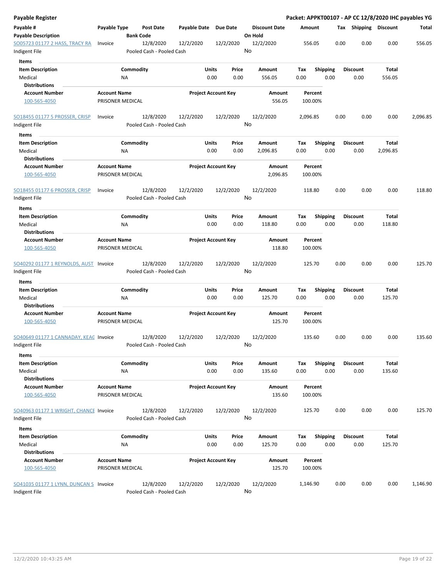| Payable Register                                        |                                         |                                        |                       |                            |                      |          |                 |      |                       |          | Packet: APPKT00107 - AP CC 12/8/2020 IHC payables YG |
|---------------------------------------------------------|-----------------------------------------|----------------------------------------|-----------------------|----------------------------|----------------------|----------|-----------------|------|-----------------------|----------|------------------------------------------------------|
| Payable #                                               | Payable Type                            | <b>Post Date</b>                       | Payable Date Due Date |                            | <b>Discount Date</b> | Amount   |                 |      | Tax Shipping Discount |          | Total                                                |
| <b>Payable Description</b>                              |                                         | <b>Bank Code</b>                       |                       |                            | On Hold              |          |                 |      |                       |          |                                                      |
| <b>SO05723 01177 2 HASS, TRACY RA</b>                   | Invoice                                 | 12/8/2020                              | 12/2/2020             | 12/2/2020                  | 12/2/2020            | 556.05   |                 | 0.00 | 0.00                  | 0.00     | 556.05                                               |
| Indigent File                                           |                                         | Pooled Cash - Pooled Cash              |                       |                            | No                   |          |                 |      |                       |          |                                                      |
| Items                                                   |                                         |                                        |                       |                            |                      |          |                 |      |                       |          |                                                      |
| <b>Item Description</b>                                 |                                         | Commodity                              | Units                 | Price                      | Amount               | Tax      | <b>Shipping</b> |      | <b>Discount</b>       | Total    |                                                      |
| Medical                                                 |                                         | ΝA                                     |                       | 0.00<br>0.00               | 556.05               | 0.00     | 0.00            |      | 0.00                  | 556.05   |                                                      |
| <b>Distributions</b>                                    |                                         |                                        |                       |                            |                      |          |                 |      |                       |          |                                                      |
| <b>Account Number</b>                                   | <b>Account Name</b>                     |                                        |                       | <b>Project Account Key</b> | Amount               |          | Percent         |      |                       |          |                                                      |
| 100-565-4050                                            | PRISONER MEDICAL                        |                                        |                       |                            | 556.05               | 100.00%  |                 |      |                       |          |                                                      |
| SO18455 01177 5 PROSSER, CRISP<br>Indigent File         | Invoice                                 | 12/8/2020<br>Pooled Cash - Pooled Cash | 12/2/2020             | 12/2/2020                  | 12/2/2020<br>No      | 2,096.85 |                 | 0.00 | 0.00                  | 0.00     | 2,096.85                                             |
| Items                                                   |                                         |                                        |                       |                            |                      |          |                 |      |                       |          |                                                      |
| <b>Item Description</b>                                 |                                         | Commodity                              | Units                 | Price                      | Amount               | Tax      | <b>Shipping</b> |      | <b>Discount</b>       | Total    |                                                      |
| Medical                                                 |                                         | NA                                     |                       | 0.00<br>0.00               | 2,096.85             | 0.00     | 0.00            |      | 0.00                  | 2,096.85 |                                                      |
| <b>Distributions</b>                                    |                                         |                                        |                       |                            |                      |          |                 |      |                       |          |                                                      |
| <b>Account Number</b><br>100-565-4050                   | <b>Account Name</b><br>PRISONER MEDICAL |                                        |                       | <b>Project Account Key</b> | Amount<br>2,096.85   | 100.00%  | Percent         |      |                       |          |                                                      |
|                                                         |                                         |                                        |                       |                            |                      |          |                 |      |                       |          |                                                      |
| SO18455 01177 6 PROSSER, CRISP                          | Invoice                                 | 12/8/2020                              | 12/2/2020             | 12/2/2020                  | 12/2/2020            | 118.80   |                 | 0.00 | 0.00                  | 0.00     | 118.80                                               |
| Indigent File                                           |                                         | Pooled Cash - Pooled Cash              |                       |                            | No                   |          |                 |      |                       |          |                                                      |
| Items                                                   |                                         |                                        |                       |                            |                      |          |                 |      |                       |          |                                                      |
| <b>Item Description</b>                                 |                                         | Commodity                              | Units                 | Price                      | <b>Amount</b>        | Tax      | <b>Shipping</b> |      | <b>Discount</b>       | Total    |                                                      |
| Medical                                                 |                                         | ΝA                                     |                       | 0.00<br>0.00               | 118.80               | 0.00     | 0.00            |      | 0.00                  | 118.80   |                                                      |
| <b>Distributions</b>                                    |                                         |                                        |                       |                            |                      |          |                 |      |                       |          |                                                      |
| <b>Account Number</b>                                   | <b>Account Name</b>                     |                                        |                       | <b>Project Account Key</b> | Amount               |          | Percent         |      |                       |          |                                                      |
| 100-565-4050                                            | PRISONER MEDICAL                        |                                        |                       |                            | 118.80               | 100.00%  |                 |      |                       |          |                                                      |
| SO40292 01177 1 REYNOLDS, AUST Invoice<br>Indigent File |                                         | 12/8/2020<br>Pooled Cash - Pooled Cash | 12/2/2020             | 12/2/2020                  | 12/2/2020<br>No      | 125.70   |                 | 0.00 | 0.00                  | 0.00     | 125.70                                               |
| Items                                                   |                                         |                                        |                       |                            |                      |          |                 |      |                       |          |                                                      |
| <b>Item Description</b>                                 |                                         | Commodity                              | Units                 | Price                      | Amount               | Tax      | <b>Shipping</b> |      | Discount              | Total    |                                                      |
| Medical                                                 |                                         | ΝA                                     |                       | 0.00<br>0.00               | 125.70               | 0.00     | 0.00            |      | 0.00                  | 125.70   |                                                      |
| <b>Distributions</b>                                    |                                         |                                        |                       |                            |                      |          |                 |      |                       |          |                                                      |
| <b>Account Number</b>                                   | <b>Account Name</b>                     |                                        |                       | <b>Project Account Key</b> | Amount               |          | Percent         |      |                       |          |                                                      |
| 100-565-4050                                            | PRISONER MEDICAL                        |                                        |                       |                            | 125.70               | 100.00%  |                 |      |                       |          |                                                      |
| SO40649 01177 1 CANNADAY, KEAC Invoice                  |                                         | 12/8/2020                              | 12/2/2020             | 12/2/2020                  | 12/2/2020            | 135.60   |                 | 0.00 | 0.00                  | 0.00     | 135.60                                               |
| Indigent File                                           |                                         | Pooled Cash - Pooled Cash              |                       |                            | No                   |          |                 |      |                       |          |                                                      |
| Items                                                   |                                         |                                        |                       |                            |                      |          |                 |      |                       |          |                                                      |
| <b>Item Description</b>                                 |                                         | Commodity                              | Units                 | Price                      | Amount               | Tax      | <b>Shipping</b> |      | <b>Discount</b>       | Total    |                                                      |
| Medical                                                 |                                         | <b>NA</b>                              |                       | 0.00<br>0.00               | 135.60               | 0.00     | 0.00            |      | 0.00                  | 135.60   |                                                      |
| <b>Distributions</b>                                    |                                         |                                        |                       |                            |                      |          |                 |      |                       |          |                                                      |
| <b>Account Number</b><br>100-565-4050                   | <b>Account Name</b><br>PRISONER MEDICAL |                                        |                       | <b>Project Account Key</b> | Amount<br>135.60     | 100.00%  | Percent         |      |                       |          |                                                      |
| SO40963 01177 1 WRIGHT, CHANCE Invoice                  |                                         | 12/8/2020                              | 12/2/2020             |                            | 12/2/2020            | 125.70   |                 | 0.00 | 0.00                  | 0.00     | 125.70                                               |
| Indigent File                                           |                                         | Pooled Cash - Pooled Cash              |                       | 12/2/2020                  | No                   |          |                 |      |                       |          |                                                      |
|                                                         |                                         |                                        |                       |                            |                      |          |                 |      |                       |          |                                                      |
| Items                                                   |                                         |                                        |                       |                            |                      |          |                 |      |                       |          |                                                      |
| <b>Item Description</b>                                 |                                         | Commodity                              | Units                 | Price                      | Amount               | Tax      | <b>Shipping</b> |      | <b>Discount</b>       | Total    |                                                      |
| Medical                                                 |                                         | ΝA                                     |                       | 0.00<br>0.00               | 125.70               | 0.00     | 0.00            |      | 0.00                  | 125.70   |                                                      |
| <b>Distributions</b>                                    |                                         |                                        |                       |                            |                      |          |                 |      |                       |          |                                                      |
| <b>Account Number</b><br>100-565-4050                   | <b>Account Name</b><br>PRISONER MEDICAL |                                        |                       | <b>Project Account Key</b> | Amount<br>125.70     | 100.00%  | Percent         |      |                       |          |                                                      |
|                                                         |                                         |                                        |                       |                            |                      |          |                 |      |                       |          |                                                      |
| SO41035 01177 1 LYNN, DUNCAN S Invoice<br>Indigent File |                                         | 12/8/2020<br>Pooled Cash - Pooled Cash | 12/2/2020             | 12/2/2020                  | 12/2/2020<br>No      | 1,146.90 |                 | 0.00 | 0.00                  | 0.00     | 1,146.90                                             |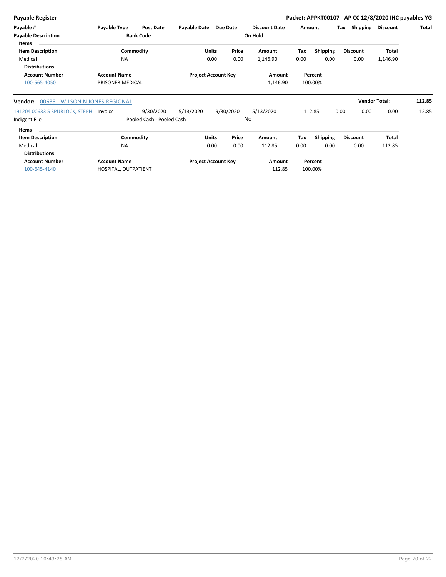| Payable #                  | Payable Type        | <b>Post Date</b> | <b>Payable Date</b> | Due Date                   |         | <b>Discount Date</b> | Amount |                 | Tax | <b>Shipping</b> | <b>Discount</b> | Total |
|----------------------------|---------------------|------------------|---------------------|----------------------------|---------|----------------------|--------|-----------------|-----|-----------------|-----------------|-------|
| <b>Payable Description</b> |                     | <b>Bank Code</b> |                     |                            | On Hold |                      |        |                 |     |                 |                 |       |
| <b>Items</b>               |                     |                  |                     |                            |         |                      |        |                 |     |                 |                 |       |
| <b>Item Description</b>    |                     | Commodity        | <b>Units</b>        | Price                      |         | Amount               | Тах    | <b>Shipping</b> |     | <b>Discount</b> | <b>Total</b>    |       |
| Medical                    | <b>NA</b>           |                  | 0.00                | 0.00                       |         | 1,146.90             | 0.00   | 0.00            |     | 0.00            | 1,146.90        |       |
| <b>Distributions</b>       |                     |                  |                     |                            |         |                      |        |                 |     |                 |                 |       |
| <b>Account Number</b>      | <b>Account Name</b> |                  |                     | <b>Project Account Key</b> |         | Amount               |        | Percent         |     |                 |                 |       |
| 100-565-4050               | PRISONER MEDICAL    |                  |                     |                            |         | 1,146.90             |        | 100.00%         |     |                 |                 |       |
|                            |                     |                  |                     |                            |         |                      |        |                 |     |                 |                 |       |

| <b>Vendor:</b> 00633 - WILSON N JONES REGIONAL |                           |              |              |           |      |                 |                 | <b>Vendor Total:</b> | 112.85 |
|------------------------------------------------|---------------------------|--------------|--------------|-----------|------|-----------------|-----------------|----------------------|--------|
| 191204 00633 5 SPURLOCK, STEPH<br>Invoice      | 9/30/2020                 | 5/13/2020    | 9/30/2020    | 5/13/2020 |      | 112.85          | 0.00<br>0.00    | 0.00                 | 112.85 |
| Indigent File                                  | Pooled Cash - Pooled Cash |              |              | No        |      |                 |                 |                      |        |
| Items                                          |                           |              |              |           |      |                 |                 |                      |        |
| <b>Item Description</b>                        | Commodity                 | <b>Units</b> | Price        | Amount    | Tax  | <b>Shipping</b> | <b>Discount</b> | Total                |        |
| Medical                                        | <b>NA</b>                 |              | 0.00<br>0.00 | 112.85    | 0.00 | 0.00            | 0.00            | 112.85               |        |
| <b>Dictributions</b>                           |                           |              |              |           |      |                 |                 |                      |        |

| <b>Distributions</b>  |                      |                            |        |         |
|-----------------------|----------------------|----------------------------|--------|---------|
| <b>Account Number</b> | <b>Account Name</b>  | <b>Project Account Key</b> | Amount | Percent |
| 100-645-4140          | HOSPITAL, OUTPATIENT |                            | 112.85 | 100.00% |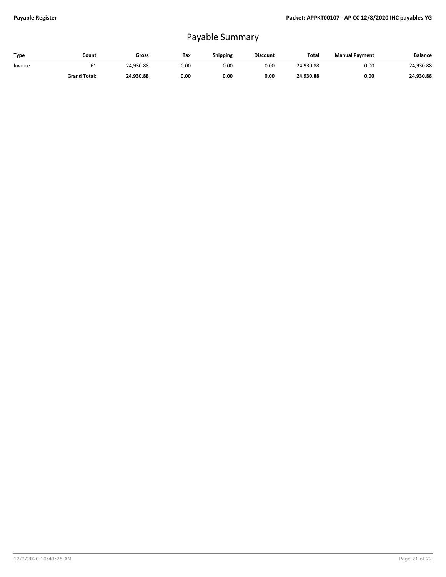## Payable Summary

| Type    | Count               | Gross     | Tax  | <b>Shipping</b> | <b>Discount</b> | Total     | <b>Manual Payment</b> | Balance   |
|---------|---------------------|-----------|------|-----------------|-----------------|-----------|-----------------------|-----------|
| Invoice | 61                  | 24,930.88 | 0.00 | 0.00            | 0.00            | 24,930.88 | 0.00                  | 24,930.88 |
|         | <b>Grand Total:</b> | 24.930.88 | 0.00 | 0.00            | 0.00            | 24.930.88 | 0.00                  | 24,930.88 |